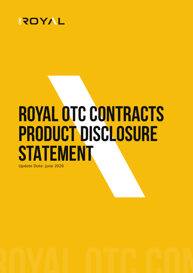

# **ROYAL OTC CONTRACTS PRODUCT DISCLOSURE STATEMENT**

Update Date: June 2020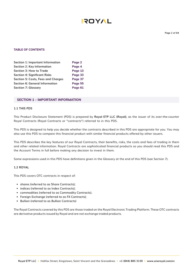#### **TABLE OF CONTENTS**

| Section 1: Important Information      | Page 2  |
|---------------------------------------|---------|
| Section 2: Key Information            | Page 4  |
| Section 3: How to Trade               | Page 13 |
| <b>Section 4: Significant Risks</b>   | Page 33 |
| Section 5: Costs, Fees and Charges    | Page 37 |
| <b>Section 6: General Information</b> | Page 55 |
| <b>Section 7: Glossary</b>            | Page 61 |

#### **SECTION 1 – IMPORTANT INFORMATION**

#### **1.1 THIS PDS**

This Product Disclosure Statement (PDS) is prepared by **Royal ETP LLC (Royal)**, as the issuer of its over-the-counter Royal Contracts (Royal Contracts or "contracts") referred to in this PDS.

This PDS is designed to help you decide whether the contracts described in this PDS are appropriate for you. You may also use this PDS to compare this financial product with similar financial products offered by other issuers.

This PDS describes the key features of our Royal Contracts, their benefits, risks, the costs and fees of trading in them and other related information. Royal Contracts are sophisticated financial products so you should read this PDS and the Account Terms in full before making any decision to invest in them.

Some expressions used in this PDS have definitions given in the Glossary at the end of this PDS (see Section 7).

#### **1.2 ROYAL**

This PDS covers OTC contracts in respect of:

- shares (referred to as Share Contracts);
- indices (referred to as Index Contracts);
- commodities (referred to as Commodity Contracts).
- Foreign Exchange (referred to as FX Contracts);
- Bullion (referred to as Bullion Contracts)

The Royal Contracts covered by this PDS are those traded on the Royal Electronic Trading Platform. These OTC contracts are derivative products issued by Royal and are not exchange traded products.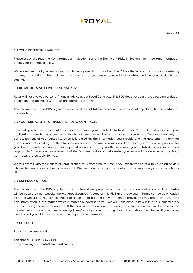#### **1.3 YOUR POTENTIAL LIABILITY**

Please especially read the Key Information in Section 2 and the Significant Risks in Section 4 for important information about your potential liability.

We recommend that you contact us if you have any questions arise from this PDS or the Account Terms prior to entering into any transactions with us. Royal recommends that you consult your advisor or obtain independent advice before trading.

#### **1.4 ROYAL DOES NOT GIVE PERSONAL ADVICE**

Royal will not give you personal financial advice about Royal Contracts. This PDS does not constitute a recommendation or opinion that the Royal Contracts are appropriate for you.

The information in this PDS is general only and does not take into account your personal objectives, financial situation and needs.

#### **1.5 YOUR SUITABILITY TO TRADE THE ROYAL CONTRACTS**

If we ask you for your personal information to assess your suitability to trade Royal Contracts and we accept your application to trade these contracts, this is not personal advice or any other advice to you. You must not rely on our assessment of your suitability since it is based on the information you provide and the assessment is only for our purposes of deciding whether to open an Account for you. You may not later claim you are not responsible for your losses merely because we have opened an Account for you after assessing your suitability. You remain solely responsible for your own assessments of the features and risks and seeking your own advice on whether the Royal Contracts are suitable for you.

We will assess wholesale client or retail client status from time to time. If you satisfy the criteria to be classified as a wholesale client, we may classify you as such. We are under no obligation to inform you if we classify you as a wholesale client.

#### **1.6 CURRENCY OF PDS**

The information in this PDS is up to date at the time it was prepared but is subject to change at any time. Any updates will be posted on our website **www.oneroyal.com/vc.** A copy of this PDS and the Account Terms can be downloaded from the website or you can call Royal to request that a paper copy of them be provided to you free of charge. If the new information is information which is materially adverse to you, we will issue either a new PDS or a supplementary PDS containing the new information. If the new information is not materially adverse to you, you will be able to find updated information on our **www.oneroyal.com/vc** or by calling us using the contact details given below. If you ask us, we will send you without charge a paper copy of the information.

#### **1.7 CONTACT**

Royal can be contacted at:

Telephone: **+1 (844) 885 3159** or by emailing us at **info@oneroyal.com.vc**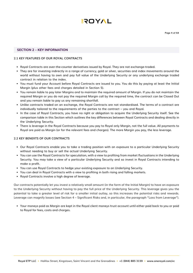

#### **SECTION 2 – KEY INFORMATION**

#### **2.1 KEY FEATURES OF OUR ROYAL CONTRACTS**

- Royal Contracts are over-the-counter derivatives issued by Royal. They are not exchange-traded.
- They are for investing indirectly in a range of currency, gold or silver, securities and index movements around the world without having to own and pay full value of the Underlying Security or any underlying exchange traded contract in relation to the index.
- You must fund your Account before Royal Contracts are issued to you. You do this by paying at least the Initial Margin (plus other fees and charges detailed in Section 5).
- You remain liable to pay later Margins and to maintain the required amount of Margin. If you do not maintain the required Margin or you do not pay the required Margin call by the required time, the contract can be Closed Out and you remain liable to pay us any remaining shortfall.
- Unlike contracts traded on an exchange, the Royal Contracts are not standardised. The terms of a contract are individually tailored to the requirements of the parties to the contract – you and Royal.
- In the case of Royal Contracts, you have no right or obligation to acquire the Underlying Security itself. See the comparison table in this Section which outlines the key differences between Royal Contracts and dealing directly in the Underlying Security.
- There is leverage in the Royal Contracts because you pay to Royal only Margin, not the full value. All payments to Royal are paid as Margin (or for the relevant fees and charges). The more Margin you pay, the less leverage.

#### **2.2 KEY BENEFTS OF OUR CONTRACTS**

- Our Royal Contracts enable you to take a trading position with an exposure to a particular Underlying Security without needing to buy or sell the actual Underlying Security.
- You can use the Royal Contracts for speculation, with a view to profiting from market fluctuations in the Underlying Security. You may take a view of a particular Underlying Security and so invest in Royal Contracts intending to make a profit.
- You can use Royal Contracts to hedge your existing exposure to an Underlying Security.
- You can deal in Royal Contracts with a view to profiting in both rising and falling markets.
- Royal Contracts involve a high degree of leverage.

Our contracts potentially let you invest a relatively small amount (in the form of the Initial Margin) to have an exposure to the Underlying Security without having to pay the full price of the Underlying Security. This leverage gives you the potential to take a greater level of risk for a smaller initial outlay, so this increases the potential risks and rewards. Leverage can magnify losses (see Section 4 – Significant Risks and, in particular, the paragraph "Loss from Leverage").

• Your moneys paid as Margin are kept in the Royal client moneys trust account until either paid back to you or paid to Royal for fees, costs and charges.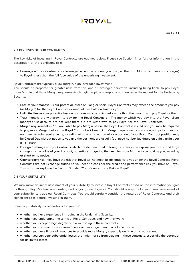#### **2.3 KEY RISKS OF OUR CONTRACTS**

The key risks of investing in Royal Contracts are outlined below. Please see Section 4 for further information in the description of the significant risks.

**• Leverage –** Royal Contracts are leveraged when the amount you pay (i.e., the total Margin and fees and charges) to Royal is less than the full face value of the underlying investment.

Royal Contracts are typically a low margin, high leveraged investment.

You should be prepared for greater risks from this kind of leveraged derivative, including being liable to pay Royal more Margin and those Margin requirements changing rapidly in response to changes in the market for the Underlying Security.

- **• Loss of your moneys** Your potential losses on (long or short) Royal Contracts may exceed the amounts you pay (as Margin) for the Royal Contract or amounts we hold on trust for you.
- **• Unlimited loss** Your potential loss on positions may be unlimited more than the amount you pay Royal for them.
- Trust moneys are withdrawn to pay for the Royal Contracts The money which you pay into the Royal client moneys trust account are not kept there but are withdrawn to pay Royal for the Royal Contracts.
- **• Margin requirements –** You are liable to pay Margin before the Royal Contract is issued and you may be required to pay more Margin before the Royal Contract is Closed Out. Margin requirements can change rapidly. If you do not meet Margin requirements, including at little or no notice, all or a portion of your Royal Contract position may be Closed Out without notice to you and the positions are usually (but need not be) liquidated on a first in/first out (FIFO) basis.
- **• Foreign Exchange** Royal Contracts which are denominated in foreign currency can expose you to fast and large changes to the value of your Account, potentially triggering the need for more Margin to be paid by you, including at short or no notice.
- **• Counterparty risk –** you have the risk that Royal will not meet its obligations to you under the Royal Contract. Royal Contracts are not Exchange-traded so you need to consider the credit and performance risk you have on Royal. This is further explained in Section 3 under "Your Counterparty Risk on Royal".

#### **2.4 YOUR SUITABILITY**

We may make an initial assessment of your suitability to invest in Royal Contracts based on the information you give us through Royal's client on-boarding and ongoing due diligence. You should always make your own assessment of your suitability to trade our Royal Contracts. You should carefully consider the features of Royal Contracts and their significant risks before investing in them.

Some key suitability considerations for you are:

- whether you have experience in trading in the Underlying Security;
- whether you understand the terms of Royal Contracts and how they work;
- whether you accept a high degree of risk in trading in these contracts;
- whether you can monitor your investments and manage them in a volatile market;
- whether you have financial resources to provide more Margin, especially on little or no notice; and
- whether you can bear substantial losses that might arise from trading in these contracts, especially the potential for unlimited losses.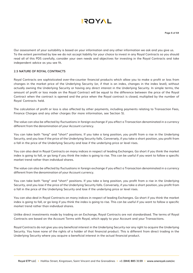

Our assessment of your suitability is based on your information and any other information we ask and you give us. To the extent permitted by law we do not accept liability for your choice to invest in any Royal Contracts so you should read all of this PDS carefully, consider your own needs and objectives for investing in the Royal Contracts and take independent advice as you see fit.

#### **2.5 NATURE OF ROYAL CONTRACTS**

Royal Contracts are sophisticated over-the-counter financial products which allow you to make a profit or loss from changes in the market price of the Underlying Security (or, if that is an index, changes in the index level), without actually owning the Underlying Security or having any direct interest in the Underlying Security. In simple terms, the amount of profit or loss made on the Royal Contract will be equal to the difference between the price of the Royal Contract when the contract is opened and the price when the Royal contract is closed, multiplied by the number of Royal Contracts held.

The calculation of profit or loss is also affected by other payments, including payments relating to Transaction Fees, Finance Charges and any other charges (for more information, see Section 5).

The value can also be affected by fluctuations in foreign exchange if you effect a Transaction denominated in a currency different from the denomination of your Account currency.

You can take both "long" and "short" positions. If you take a long position, you profit from a rise in the Underlying Security, and you lose if the price of the Underlying Security falls. Conversely, if you take a short position, you profit from a fall in the price of the Underlying Security and lose if the underlying price or level rises.

You can also deal in Royal Contracts on many indices in respect of leading Exchanges. Go short if you think the market index is going to fall, or go long if you think the index is going to rise. This can be useful if you want to follow a specific market trend rather than individual shares.

The value can also be affected by fluctuations in foreign exchange if you effect a Transaction denominated in a currency different from the denomination of your Account currency.

You can take both "long" and "short" positions. If you take a long position, you profit from a rise in the Underlying Security, and you lose if the price of the Underlying Security falls. Conversely, if you take a short position, you profit from a fall in the price of the Underlying Security and lose if the underlying price or level rises.

You can also deal in Royal Contracts on many indices in respect of leading Exchanges. Go short if you think the market index is going to fall, or go long if you think the index is going to rise. This can be useful if you want to follow a specific market trend rather than individual shares.

Unlike direct investments made by trading on an Exchange, Royal Contracts are not standardised. The terms of Royal Contracts are based on the Account Terms with Royal, which apply to your Account and your Transactions.

Royal Contracts do not give you any beneficial interest in the Underlying Security nor any right to acquire the Underlying Security. You have none of the rights of a holder of that financial product. This is different from direct trading in the Underlying Security where you acquire a beneficial interest in the actual financial product.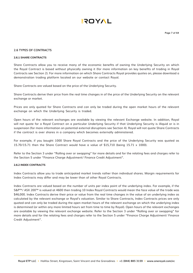

#### **2.6 TYPES OF CONTRACTS**

#### **2.6.1 SHARE CONTRACTS**

Share Contracts allow you to receive many of the economic benefits of owning the Underlying Security on which the Royal Contract is based without physically owning it (for more information on key benefits of trading in Royal Contracts see Section 2). For more information on which Share Contracts Royal provides quotes on, please download a demonstration trading platform located on our website or contact Royal.

Share Contracts are valued based on the price of the Underlying Security.

Share Contracts derive their price from the real time changes in of the price of the Underlying Security on the relevant exchange or market.

Prices are only quoted for Share Contracts and can only be traded during the open market hours of the relevant exchange on which the Underlying Security is traded.

Open hours of the relevant exchanges are available by viewing the relevant Exchange website. In addition, Royal will not quote for a Royal Contract on a particular Underlying Security if that Underlying Security is illiquid or is in suspension (for more information on potential external disruptions see Section 4). Royal will not quote Share Contracts if the contract is over shares in a company which becomes externally administered.

For example, if you bought 1000 Share Royal Contracts and the price of the Underlying Security was quoted as 15.70/15.71 then the Share Contract would have a value of \$15,710 (being 15.71 x 1000).

Refer to the Section 3 under "Rolling over or swapping" for more details and for the relating fees and charges refer to the Section 5 under "Finance Charge Adjustment/ Finance Credit Adjustment".

#### **2.6.2 INDEX CONTRACTS**

Index Contracts allow you to trade anticipated market trends rather than individual shares. Margin requirements for Index Contracts may differ and may be lower than of other Royal Contracts.

Index Contracts are valued based on the number of units per index point of the underlying index. For example, if the S&P™/ ASX 200™ is valued at 4600 then trading 10 Index Royal Contracts would mean the face value of the trade was \$46,000. Index Contracts derive their price or value from the real time changes in the value of an underlying index as calculated by the relevant exchange or Royal's valuation. Similar to Share Contracts, Index Contracts prices are only quoted and can only be traded during the open market hours of the relevant exchange on which the underlying index is determined (or within any more limited hours set from time to time by Royal). Open hours of the relevant exchanges are available by viewing the relevant exchange website. Refer to the Section 3 under "Rolling over or swapping" for more details and for the relating fees and charges refer to the Section 5 under "Finance Charge Adjustment/ Finance Credit Adjustment".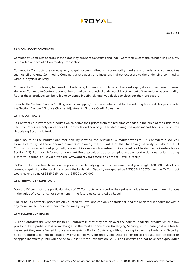#### **2.6.3 COMMODITY CONTRACTS**

Commodity Contracts operate in the same way as Share Contracts and Index Contracts except their Underlying Security is the value or price of a Commodity Transaction.

Commodity Contracts are an easy way to gain access indirectly to commodity markets and underlying commodities such as oil and gas. Commodity Contracts give traders and investors indirect exposure to the underlying commodity without physical delivery.

Commodity Contracts may be based on Underlying Futures contracts which have set expiry dates or settlement terms. However Commodity Contracts cannot be settled by the physical or deliverable settlement of the underlying commodity. Rather these products can be rolled or swapped indefinitely until you decide to close out the transaction.

Refer to the Section 3 under "Rolling over or swapping" for more details and for the relating fees and charges refer to the Section 5 under "Finance Charge Adjustment/ Finance Credit Adjustment.

#### **2.6.4 FX CONTRACTS**

FX Contracts are leveraged products which derive their prices from the real time changes in the price of the Underlying Security. Prices are only quoted for FX Contracts and can only be traded during the open market hours on which the Underlying Security is traded.

Open hours of the market are available by viewing the relevant FX market website. FX Contracts allow you to receive many of the economic benefits of owning the full value of the Underlying Security on which the FX Contract is based without physically owning it (for more information on key benefits of trading in FX Contracts see Section 2.2). For more information on what Royal provides quotes on, please download a demonstration trading platform located on Royal's website **www.oneroyal.com/vc** or contact Royal directly.

FX Contracts are valued based on the price of the Underlying Security. For example, if you bought 100,000 units of one currency against another and the price of the Underlying Security was quoted as 1.25505/1.25525 then the FX Contract would have a value of \$125,525 (being 1.25525 x 100,000).

#### **2.6.5 FORWARD FX CONTRACTS**

Forward FX contracts are particular kinds of FX Contracts which derive their price or value from the real time changes in the value of a currency for settlement in the future as calculated by Royal.

Similar to FX Contracts, prices are only quoted by Royal and can only be traded during the open market hours (or within any more limited hours set from time to time by Royal).

#### **2.6.6 BULLION CONTRACTS**

Bullion Contracts are very similar to FX Contracts in that they are an over-the-counter financial product which allow you to make a profit or loss from changes in the market price of an Underlying Security, in this case gold or silver to the extent they are reflected in price movements in Bullion Contracts, without having to own the Underlying Security. Bullion Contracts cannot be settled by physical delivery on their Value Date, rather these products can be rolled or swapped indefinitely until you decide to Close Out the Transaction i.e. Bullion Contracts do not have set expiry dates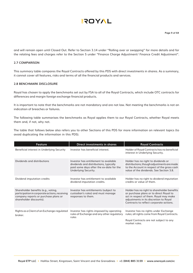and will remain open until Closed Out. Refer to Section 3.14 under "Rolling over or swapping" for more details and for the relating fees and charges refer to the Section 5 under "Finance Charge Adjustment/ Finance Credit Adjustment".

#### **2.7 COMPARISON**

This summary table compares the Royal Contracts offered by this PDS with direct investments in shares. As a summary, it cannot cover all features, risks and terms of all the financial products and services.

#### **2.8 BENCHMARK DISCLOSURE**

Royal has chosen to apply the benchmarks set out by FSA to all of the Royal Contracts, which include OTC contracts for differences and margin foreign exchange financial products.

It is important to note that the benchmarks are not mandatory and are not law. Not meeting the benchmarks is not an indication of breaches or failures.

The following table summarises the benchmarks as Royal applies them to our Royal Contracts, whether Royal meets them and, if not, why not.

The table that follows below also refers you to other Sections of this PDS for more information on relevant topics (to avoid duplicating the information in this PDS).

| <b>Feature</b>                                                                                                                                          | <b>Direct investments in shares</b>                                                                                                                 | <b>Royal Contracts</b>                                                                                                                                                                                                |
|---------------------------------------------------------------------------------------------------------------------------------------------------------|-----------------------------------------------------------------------------------------------------------------------------------------------------|-----------------------------------------------------------------------------------------------------------------------------------------------------------------------------------------------------------------------|
| Beneficial interest in Underlying Security                                                                                                              | Investor has beneficial interest.                                                                                                                   | Holder of Royal Contracts has no beneficial<br>interest in Underlying Security.                                                                                                                                       |
| Dividends and distributions                                                                                                                             | Investor has entitlement to available<br>dividends and distributions, typically<br>paid some days after the ex-date for the<br>Underlying Security. | Holder has no right to dividends or<br>distributions, though adjustments are made<br>to the Account in respect of the gross cash<br>value of the dividends. See Section 3.8.                                          |
| Dividend imputation credits                                                                                                                             | Investor has entitlement to available<br>dividend imputation credits.                                                                               | Holder has no right to dividend imputation<br>credits or value of them.                                                                                                                                               |
| Shareholder benefits (e.g., voting,<br>participation in corporate actions, receiving<br>company reports or purchase plans or<br>shareholder discounts). | Investor has entitlements (subject to<br>custodian's rules) and must manage<br>responses to them.                                                   | Holder has no right to shareholder benefits<br>or purchase plans or to direct Royal to<br>act in respect of them. Royal may make<br>adjustments in its discretion to Royal<br>Contracts to reflect corporate actions. |
| Rights as a Client of an Exchange-regulated<br>broker.                                                                                                  | Investor has rights imposed by operating<br>rules of Exchange and any other regulatory<br>rules                                                     | Investor has no rights under Exchange<br>rules; all rights come from Royal Contracts.<br>Royal Contracts are not subject to any<br>market rules.                                                                      |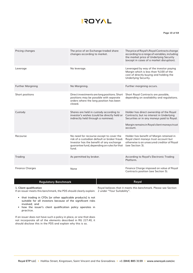#### **Page 10 of 64**

| Pricing changes          | The price of an Exchange-traded share<br>changes according to market.                                                                                                                        | The price of Royal's Royal Contracts change<br>according to a range of variables, including<br>the market price of Underlying Security<br>(except in cases of a market disruption).           |
|--------------------------|----------------------------------------------------------------------------------------------------------------------------------------------------------------------------------------------|-----------------------------------------------------------------------------------------------------------------------------------------------------------------------------------------------|
| Leverage                 | No leverage.                                                                                                                                                                                 | Leveraged by way of the investor paying<br>Margin which is less than %100 of the<br>cost of directly buying and holding the<br>Underlying Security.                                           |
| <b>Further Margining</b> | No Margining.                                                                                                                                                                                | Further margining occurs.                                                                                                                                                                     |
| Short positions          | Direct investments are long positions. Short<br>positions may be possible with separate<br>orders where the long position has been<br>closed.                                                | Short Royal Contracts are possible,<br>depending on availability and regulations.                                                                                                             |
| Custody                  | Shares are held in custody according to<br>investor's wishes (could be directly held or<br>indirectly held through a nominee).                                                               | Holder has direct ownership of the Royal<br>Contracts; but no interest in Underlying<br>Securities or in any moneys paid to Royal.<br>Margin remains in Royal client moneys trust<br>account. |
| Recourse                 | No need for recourse except to cover the<br>risk of a custodian default or broker fraud.<br>Investor has the benefit of any exchange<br>guarantee fund, depending on rules for that<br>fund. | Holder has benefit of Margin retained in<br>Royal client moneys trust account but<br>otherwise is an unsecured creditor of Royal<br>(see Section 3).                                          |
| Trading                  | As permitted by broker.                                                                                                                                                                      | According to Royal's Electronic Trading<br>Platform.                                                                                                                                          |
| <b>Finance Charges</b>   | None                                                                                                                                                                                         | Finance Charge imposed on value of Royal<br>Contracts position (see Section 5).                                                                                                               |

| <b>Regulatory Benchmark</b>                                                                    | Roval                                                           |
|------------------------------------------------------------------------------------------------|-----------------------------------------------------------------|
| 1. Client qualification                                                                        | Royal believes that it meets this benchmark. Please see Section |
| If an issuer meets this benchmark, the PDS should clearly explain: 2 under "Your Suitability". |                                                                 |

• that trading in CFDs [or other applicable products] is not suitable for all investors because of the significant risks

ı

- involved; and • how the issuer's client qualification policy operates in
- practice.

If an issuer does not have such a policy in place, or one that does not incorporate all of the elements described in RG 227.40, it should disclose this in the PDS and explain why this is so.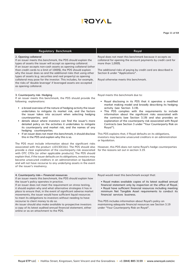# **AYOTS**

#### **Page 11 of 64**

| <b>Regulatory Benchmark</b>                                                                                                                                                                                                                                                                                                                                                                                                                                                                                                                                                                                                                                                                                                                                                                                                                                                                                                                                                                                                                                                                                                                                                                  | Royal                                                                                                                                                                                                                                                                                                                                                                                                                                                                                                                                                                                                                                                                                                                                                                         |
|----------------------------------------------------------------------------------------------------------------------------------------------------------------------------------------------------------------------------------------------------------------------------------------------------------------------------------------------------------------------------------------------------------------------------------------------------------------------------------------------------------------------------------------------------------------------------------------------------------------------------------------------------------------------------------------------------------------------------------------------------------------------------------------------------------------------------------------------------------------------------------------------------------------------------------------------------------------------------------------------------------------------------------------------------------------------------------------------------------------------------------------------------------------------------------------------|-------------------------------------------------------------------------------------------------------------------------------------------------------------------------------------------------------------------------------------------------------------------------------------------------------------------------------------------------------------------------------------------------------------------------------------------------------------------------------------------------------------------------------------------------------------------------------------------------------------------------------------------------------------------------------------------------------------------------------------------------------------------------------|
| 2. Opening collateral<br>If an issuer meets this benchmark, the PDS should explain the<br>types of assets the issuer will accept as opening collateral.<br>If an issuer accepts non-cash assets as opening collateral (other<br>than credit cards to a limit of 1000\$), the PDS should explain<br>why the issuer does so and the additional risks that using other<br>types of assets (e.g. securities and real property) as opening<br>collateral may pose for the investor. This includes, for example,<br>the risks of 'double leverage' if leveraged assets are accepted<br>as opening collateral.                                                                                                                                                                                                                                                                                                                                                                                                                                                                                                                                                                                      | Royal does not meet this benchmark because it accepts as<br>collateral for opening the account payments by credit card for<br>more than 1,000\$.<br>The additional risks of paying by credit card are described in<br>Section 6 under "Applications".<br>Royal otherwise meets this benchmark.                                                                                                                                                                                                                                                                                                                                                                                                                                                                                |
| 3. Counterparty risk- Hedging<br>If an issuer meets this benchmark, the PDS should provide the<br>following explanations:<br>• a broad overview of the nature of hedging activity the issuer<br>undertakes to mitigate its market risk, and the factors<br>the issuer takes into account when selecting hedging<br>counterparties; and<br>details about where investors can find the issuer's more<br>detailed policy on the activities it undertakes to mitigate<br>its counterparty and market risk, and the names of any<br>hedging counterparties.<br>• If an issuer does not meet this benchmark, it should disclose<br>this in the PDS and explain why this is so.<br>The PDS must include information about the significant risks<br>associated with the product: s1013D(1)(c). The PDS should also<br>provide a clear explanation of the counterparty risk associated<br>with OTC CFDs [or other applicable products]. The PDS should<br>explain that, if the issuer defaults on its obligations, investors may<br>become unsecured creditors in an administration or liquidation<br>and will not have recourse to any underlying assets in the event<br>of the issuer's insolvency. | Royal meets this benchmark due to:<br>• Royal disclosing in its PDS that it operates a modified<br>market making model and broadly describing its hedging<br>activity (see Section 3.19).<br>. This PDS complies with the requirements to include<br>information about the significant risks associated with<br>the contracts (see Section 3.19) and also provides an<br>explanation of the counterparty risk associated with Royal<br>Contracts (see Section 3 under "Your Counterparty Risk on<br>Royal").<br>This PDS explains that, if Royal defaults on its obligations,<br>investors may become unsecured creditors in an administration<br>or liquidation.<br>However, this PDS does not name Royal's hedge counterparties<br>for the reasons set out in section 3.19. |
| 4. Counterparty risk- Financial resources<br>If an issuer meets this benchmark, the PDS should explain how<br>the issuer's policy operates in practice.<br>If an issuer does not meet the requirement on stress testing,<br>it should explain why and what alternative strategies it has in<br>place to ensure that, in the event of significant adverse market<br>movements, the issuer would have sufficient liquid resources<br>to meet its obligations to investors without needing to have<br>recourse to client money to do so.<br>An issuer should also make available to prospective investors<br>a copy of its latest audited annual financial statement, either<br>online or as an attachment to the PDS.                                                                                                                                                                                                                                                                                                                                                                                                                                                                          | Royal would meet this benchmark except that:<br>. Royal makes available copies of its latest audited annual<br>financial statement only by inspection at the office of Royal.<br>. Royal have sufficient financial resources including meeting<br>minimum Net Tangible Asset requirements to conduct its<br>financial services business.<br>This PDS includes information about Royal's policy on<br>maintaining adequate financial resources see Section 3.19<br>under "Your Counterparty Risk on Royal".                                                                                                                                                                                                                                                                    |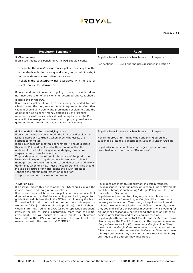#### **Page 12 of 64**

| <b>Regulatory Benchmark</b>                                                                                                                                                                                                                                                                                                                                                                                                                                                                                                                                                                                                                                                                                                                                                                                                                                                                                                                                                                                      | Royal                                                                                                                                                                                                                                                                                                                                                                                                                                                                                                                                                                                                                                                                                                                                                                                                               |
|------------------------------------------------------------------------------------------------------------------------------------------------------------------------------------------------------------------------------------------------------------------------------------------------------------------------------------------------------------------------------------------------------------------------------------------------------------------------------------------------------------------------------------------------------------------------------------------------------------------------------------------------------------------------------------------------------------------------------------------------------------------------------------------------------------------------------------------------------------------------------------------------------------------------------------------------------------------------------------------------------------------|---------------------------------------------------------------------------------------------------------------------------------------------------------------------------------------------------------------------------------------------------------------------------------------------------------------------------------------------------------------------------------------------------------------------------------------------------------------------------------------------------------------------------------------------------------------------------------------------------------------------------------------------------------------------------------------------------------------------------------------------------------------------------------------------------------------------|
| 5. Client money<br>If an issuer meets this benchmark, the PDS should clearly:<br>• describe the issuer's client money policy, including how the<br>issuer deals with client money and when, and on what basis, it<br>makes withdrawals from client money; and<br>• explain the counterparty risk associated with the use of<br>client money for derivatives.<br>If an issuer does not have such a policy in place, or one that does<br>not incorporate all of the elements described above, it should<br>disclose this in the PDS.<br>If an issuer's policy allows it to use money deposited by one<br>client to meet the margin or settlement requirements of another<br>client, it should very clearly and prominently explain this and the<br>additional risks to client money entailed by this practice.<br>An issuer's client money policy should be explained in the PDS in<br>a way that allows potential investors to properly evaluate and<br>quantify the nature of the risk, if any, to client money. | Royal believes it meets this benchmark in all respects.<br>See sections 3.19, 3.13 and the risks described in section 4.                                                                                                                                                                                                                                                                                                                                                                                                                                                                                                                                                                                                                                                                                            |
| 6. Suspended or halted underlying assets<br>If an issuer meets the benchmark, the PDS should explain the<br>issuer's approach to trading when underlying assets are<br>suspended or halted.<br>If an issuer does not meet this benchmark, it should disclose<br>this in the PDS and explain why this is so, as well as the<br>additional risks that trading when underlying assets are<br>suspended may pose for investors.<br>To provide a full explanation of this aspect of the product, an<br>issuer should explain any discretions it retains as to how it<br>manages positions over halted or suspended assets, and how it<br>determines when and how it uses these discretions. This should<br>include disclosure of any discretions the issuer retains to:<br>- change the margin requirement on a position;<br>- re-price a position; or close out a position.                                                                                                                                          | Royal believes it meets this benchmark in all respects.<br>Royal's approach to trading when underlying assets are<br>suspended or halted is described in Section 3 under "Dealing".<br>Royal's discretions and how it manages its positions are<br>described in Section 6 under "Discretions".                                                                                                                                                                                                                                                                                                                                                                                                                                                                                                                      |
| 7. Margin calls<br>If an issuer meets this benchmark, the PDS should explain the Royal describes its margin policy at Section 3 under "Payments<br>issuer's policy and margin call practices.<br>If an issuer does not have such a policy in place, or one that<br>does not incorporate all of the elements prescribed by regulatory<br>guide, it should disclose this in the PDS and explain why this is so.<br>To provide full and accurate information about this aspect of<br>trading in CFDs [or other applicable products], the PDS should<br>clearly state that trading in CFDs [or other applicable products]<br>involves the risk of losing substantially more than the initial<br>investment. This will ensure the issuer meets its obligation<br>to include in the PDS information about the significant risks<br>associated with the product: s1013D(1)(c).                                                                                                                                          | Royal does not meet this benchmark in certain respects.<br>and Client Moneys" subheading "Margin Policy" and the risks<br>associated at Section 4.<br>Royal does not commit to taking any reasonable steps to<br>notify investors before making a Margin call because that is<br>contrary to the Account Terms and, if it applied, would tend<br>to have a worse financial effect for all Clients generally, since<br>they could all suffer adverse price movements while waiting for<br>an undefined reasonable notice period, that may only later be<br>decided after lengthy and costly legal proceedings.<br>Royal might attempt to contact Clients, but the Account Terms<br>clearly require the Client (i) to maintain the required minimum<br>Margin Cover as well as (ii) to meet any Margin call. A Client |

must meet the Margin Cover requirements whether or not the Client is aware of the current Margin Cover. A Client must meet a Margin call even if they have not actually received the Margin call made to the address they gave Royal.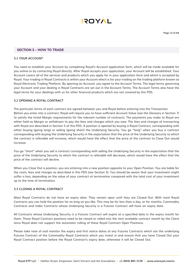

#### **SECTION 3 – HOW TO TRADE**

#### **3.1 YOUR ACCOUNT**

You need to establish your Account by completing Royal's Account application form, which will be made available for you online or by contacting Royal directly. After Royal accepts your application, your Account will be established. Your Account covers all of the services and products which you apply for in your application form and which is accepted by Royal. Your trading in Royal Contracts is within your Account which is for your trading on the trading platform known as Royal Electronic Trading Platform. By opening an Account, you agree to the Account Terms. The legal terms governing your Account and your dealing in Royal Contracts are set out in the Account Terms. The Account Terms also have the legal terms for your dealings with us for other financial products which are not covered by this PDS.

#### **3.2 OPENING A ROYAL CONTRACT**

The particular terms of each contract are agreed between you and Royal before entering into the Transaction. Before you enter into a contract, Royal will require you to have sufficient Account Value (see the Glossary in Section 7) to satisfy the Initial Margin requirements for the relevant number of contracts. The payments you make to Royal are either held as Margin or withdrawn to pay the fees and charges which you owe. The fees and charges of transacting with Royal are described in Section 5 of this PDS. A position is opened by buying a Royal Contract, corresponding with either buying (going long) or selling (going short) the Underlying Security. You go "long" when you buy a contract corresponding with buying the Underlying Security in the expectation that the price of the Underlying Security to which the contract is referable will increase, which would have the effect that the price of the contract to Close Out would increase.

You go "short" when you sell a contract corresponding with selling the Underlying Security in the expectation that the price of the Underlying Security to which the contract is referable will decrease, which would have the effect that the price of the contract will decline.

When you Close Out a position, you are entering into a new position opposite to your Open Position. You are liable for the costs, fees and charges as described in this PDS (see Section 5). You should be aware that your investment might suffer a loss, depending on the value of your contract at termination compared with the total cost of your investment up to the time of termination.

#### **3.3 CLOSING A ROYAL CONTRACT**

Most Royal Contracts do not have an expiry date. They remain open until they are Closed Out. With most Royal Contracts you can hold the position for as long as you like. This may be for less than a day, or for months. Commodity Contracts and Index Contracts whose Underlying Security is a Futures Contract will have an expiry date.

All Contracts whose Underlying Security is a Futures Contract will expire at a specified date in the expiry month for them. These Royal Contract positions need to be closed or rolled into the next available contract month by the Client since Royal does not support the automatic rolling of these Royal Contract Open Positions.

Please take note of and monitor the expiry and first notice dates of any Futures Contracts which are the underlying Futures Contract of the Commodity Royal Contracts which you invest in and ensure that you have Closed Out your Royal Contract position before the Royal Contract's expiry date, otherwise it will be Closed Out.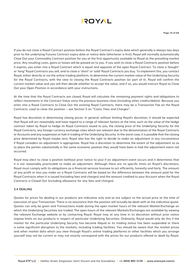

If you do not close a Royal Contract position before the Royal Contract's expiry date which generally is always two days prior to the underlying Futures Contract expiry date or notice date (whichever is first), Royal will normally automatically Close Out your Commodity Contract position for you at the first opportunity available to Royal at the prevailing market price. Any resulting costs, gains or losses will be passed on to you. If you wish to close a Royal Contracts position before it expires, you enter into a Royal Contract which is equal and opposite of the open Royal Contract. To close a 'bought' or 'long' Royal Contracts you sell, and to close a 'short' or 'sold' Royal Contracts you buy. To implement this, you contact Royal, either directly or via the online trading platform, to determine the current market value of the Underlying Security for the Royal Contracts, with the view to closing the Royal Contracts position (or part of it). Royal will confirm the current market value and you will then decide whether to accept the value, and if so, you would instruct Royal to Close Out your Open Position in accordance with your instructions.

At the time that the Royal Contracts are closed, Royal will calculate the remaining payment rights and obligations to reflect movements in the Contract Value since the previous business close (including other credits/debits). Because you enter into a Royal Contracts to Close Out the existing Royal Contracts, there may be a Transaction Fee on the Royal Contracts, used to close the position – see Section 5 on "Costs, Fees and Charges".

Royal has discretion in determining closing prices. In general, without limiting Royal's discretion, it should be expected that Royal will act reasonably and have regard to a range of relevant factors at the time, such as the value of the hedge contract taken by Royal to hedge its Royal Contracts issued to you, the closing price of the Underlying Security for the Royal Contracts, any foreign currency exchange rates which are relevant due to the denomination of the Royal Contracts or Accounts and any suspension or halt in trading of the Underlying Security. In the worst case, it is possible that the closing price determined by Royal maybe zero. Royal also has the right to decide to make an adjustment in any circumstance if Royal considers an adjustment is appropriate. Royal has a discretion to determine the extent of the adjustment so as to place the parties substantially in the same economic position they would have been in had the adjustment event not occurred.

Royal may elect to close a position (without prior notice to you) if an adjustment event occurs and it determines that it is not reasonably practicable to make an adjustment. Although there are no specific limits on Royal's discretions, Royal must comply with its obligations as a financial services licensee to act efficiently, honestly and fairly. The amount of any profit or loss you make on a Royal Contracts will be based on the difference between the amount paid for the Royal Contracts when it is issued (including fees and charges) and the amount credited to your Account when the Royal Contracts is Closed Out (including allowance for any fees and charges).

#### **3.4 DEALING**

Quotes for prices for dealing in our products are indicative only and so are subject to the actual price at the time of execution of your Transaction. There is no assurance that the position will actually be dealt with at the indicative quote. Quotes can only be given and Transactions made during the open market hours of the relevant Market/Exchange on which the Underlying Securities are traded. The open hours of the relevant Markets/Exchanges are available by viewing the relevant Exchange website or by contacting Royal. Royal may at any time in its discretion without prior notice impose limits on our products in respect of particular Underlying Securities. Ordinarily, Royal would only do this if the market for the particular Underlying Security has become illiquid or its trading status has been suspended or there is some significant disruption to the markets, including trading facilities. You should be aware that the market prices and other market data which you view through Royal's online trading platforms or other facilities which you arrange yourself may not be current or may not exactly correspond with the prices for our products offered or dealt by Royal.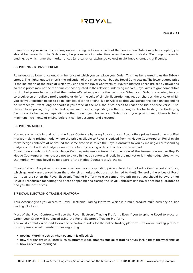

If you access your Accounts and any online trading platform outside of the hours when Orders may be accepted, you should be aware that the Orders may be processed at a later time when the relevant Market/Exchange is open to trading, by which time the market prices (and currency exchange values) might have changed significantly.

#### **3.5 PRICING - BID/ASK SPREAD**

Royal quotes a lower price and a higher price at which you can place your Order. This may be referred to as the Bid/Ask spread. The higher quoted price is the indication of the price you can buy the Royal Contracts at. The lower quoted price is the indication of the price at which you can sell the Royal Contracts at. Royal's Bid/Ask prices are set by Royal and so these prices may not be the same as those quoted in the relevant underlying market. Royal aims to give competitive pricing but please be aware that the quotes offered may not be the best price. When your Order is executed, for you to break even or realise a profit, putting aside for the sake of simple illustration any fees or charges, the price at which you exit your position needs to be at least equal to the original Bid or Ask price that you started the position (depending on whether you went long or short); if you trade at the Ask, the price needs to reach the Bid and vice versa. Also, the available pricing may be limited by minimum steps, depending on the Exchange rules for trading the Underlying Security or its hedge, so, depending on the product you choose, your Order to exit your position might have to be in minimum increments of pricing before it can be accepted and executed.

#### **3.6 PRICING MODEL**

You may only trade in and out of the Royal Contracts by using Royal's prices. Royal offers prices based on a modified market making pricing model where the price available to Royal is derived from its Hedge Counterparty. Royal might make hedge contracts at or around the same time as it issues the Royal Contracts to you by making a corresponding hedge contract with its Hedge Counterparty (not by placing orders directly into the market.

Royal understands that Royal's Hedge Counterparty usually takes the other side of the transaction and so Royal's Hedge Counterparty may choose not to place its hedge contacts directly in the market or it might hedge directly into the market, without Royal being aware of the Hedge Counterparty's choice.

Royal's Bid and Ask prices to you are based on the corresponding prices offered by the Hedge Counterparty to Royal, which generally are derived from the underlying markets (but are not limited to that). Generally the prices of Royal Contracts are set on the Royal Electronic Trading Platform to give competitive pricing but you should be aware that Royal is responsible for setting the prices of opening and closing the Royal Contracts and Royal does not guarantee to find you the best prices.

#### **3.7 ROYAL ELECTRONIC TRADING PLATFORM**

Your Account gives you access to Royal Electronic Trading Platform, which is a multi-product multi-currency on- line trading platform.

Most of the Royal Contracts will use the Royal Electronic Trading Platform. Even if you telephone Royal to place an Order, your Order will be placed using the Royal Electronic Trading Platform.

You must carefully read and follow the operational rules for the online trading platform. The online trading platform may impose special operating rules regarding:

- posting Margin (such as when payment is effective);
- how Margins are calculated (such as automatic adjustments outside of trading hours, including at the weekend); or
- how Orders are managed.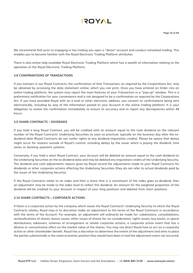

We recommend that prior to engaging in live trading you open a "demo" account and conduct simulated trading. This enables you to become familiar with the Royal Electronic Trading Platform attributes.

There is also online help available Royal Electronic Trading Platform which has a wealth of information relating to the operation of the Royal Electronic Trading Platform.

#### **3.8 CONFIRMATIONS OF TRANSACTIONS**

If you transact in our Royal Contracts, the confirmation of that Transaction, as required by the Corporations Act, may be obtained by accessing the daily statement online, which you can print. Once you have entered an Order into an online trading platform, the system may report the main features of your Transaction in a "pop-up" window. This is a preliminary notification for your convenience and is not designed to be a confirmation as required by the Corporations Act. If you have provided Royal with an e-mail or other electronic address, you consent to confirmations being sent electronically, including by way of the information posted to your Account in the online trading platform. It is your obligation to review the confirmation immediately to ensure its accuracy and to report any discrepancies within 48 hours.

#### **3.9 SHARE CONTRACTS – DIVIDENDS**

If you hold a long Royal Contract, you will be credited with an amount equal to the cash dividend on the relevant number of the Royal Contracts' Underlying Securities as soon as practical, typically on the business day after the exdividend date (Royal Contracts do not confer rights to any dividend imputation credits). Please be aware that delays might occur for reasons outside of Royal's control, including delays by the issuer which is paying the dividend, time zones or banking payment systems.

Conversely, if you hold a short Royal Contract, your Account will be debited an amount equal to the cash dividend on the Underlying Securities on the ex-dividend date and may be debited any imputation credits of the Underlying Security. The dividend and cash adjustments reports given by Royal record the adjustments made to your Royal Contracts for dividends or other corporate actions affecting the Underlying Securities (they do not refer to actual dividends paid by the issuer of the Underlying Security).

If the Royal Contracts relate to an index and then a share that is a constituent of the index goes ex-dividend, then an adjustment may be made to the index level to reflect this dividend. An amount for the weighted proportion of the dividend will be credited to your Account in respect of your long positions and debited from short positions.

#### **3.10 SHARE CONTRACTS – CORPORATE ACTIONS**

If there is a corporate action by the company which issues the Royal Contracts' Underlying Security to which the Royal Contracts relates, Royal may in its discretion make an adjustment to the terms of the Royal Contracts in accordance with the terms of the Account. For example, an adjustment will ordinarily be made for: subdivisions; consolidations; reclassifications of shares; bonus issues; other issues of shares for no consideration; rights issues; buy backs; in specie distributions; takeovers, schemes of arrangement or similar corporate actions; a corporate action event that has a dilutive or concentrative effect on the market value of the shares. You may not direct Royal how to act on a corporate action or other shareholder benefit. Royal has a discretion to determine the extent of the adjustment and aims to place the parties substantially in the same economic position they would have been in had the adjustment event not occurred.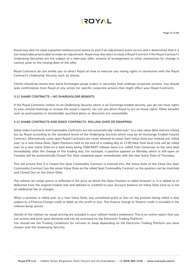

Royal may elect to close a position (without prior notice to you) if an adjustment event occurs and it determines that it is not reasonably practicable to make an adjustment. Royal may also elect to close a Royal Contract if the Royal Contract's Underlying Securities are the subject of a take-over offer, scheme of arrangement or other mechanism for change in control, prior to the closing date of the offer.

Royal Contracts do not entitle you to direct Royal on how to exercise any voting rights in connection with the Royal Contract's Underlying Security such as shares.

Clients should be aware that some Exchanges purge orders in securities that undergo corporate actions. You should seek confirmation from Royal of any action for specific corporate actions that might affect your Royal Contracts

#### **3.11 SHARE CONTRACTS – NO SHAREHOLDER BENEFTS**

If the Royal Contracts relates to an Underlying Security which is an Exchange-traded security, you do not have rights to vote, attend meetings or receive the issuer's reports, nor can you direct Royal to act on those rights. Other benefits such as participation in shareholder purchase plans or discounts are unavailable.

#### **3.12 SHARE CONTRACTS AND INDEX CONTRACTS- ROLLING OVER OR SWAPPING**

Some Index Contracts and Commodity Contracts are not automatically 'rolled over'' to a new value date and are closed out by Royal according to the standard terms of the Underlying Security which may be an Exchange Traded Futures Contract. Alternatively some open Royal Contracts are never allowed to reach their Value Date but instead are 'rolled over' to a new Value Date. Open Positions held at the end of a trading day at 17:00 New York local time will be rolled over to a new Value Date on a spot basis being TOM/NEXT rollover basis (i.e. rolled from tomorrow to the next day) immediately after the change of the trading day. For example, a position opened on Monday which is still open on Tuesday will be automatically Closed Out then reopened again immediately with the new Value Date of Thursday.

This will ensure that if a Closed Out Spot Commodity Contract is entered into, the Value Date of the Close Out Spot Commodity Contract has the same Value Date as the rolled Spot Commodity Contract so the position can be matched and Closed Out on the Value Date.

The rollover (or swap) points is reflected in the price at which the Open Position is rolled forward i.e. it is added to or deducted from the original traded rate and debited or credited to your Account balance on Value Date (and so is not an additional fee or charge).

When a position is rolled over to a new Value Date, any unrealised profit or loss on the position being rolled is also subject to a Finance Charge credit or debit on the profit or loss. This finance charge or finance credit is included in the rollover/swap points.

Details of the rollover (or swap) pricing are included in your rollover history statement. This is an online report that you can access and print upon demand and can be accessed via the Electronic Trading Platform. You should see the Trading Conditions for roll-over or swap depending on the Electronic Trading Platform you have chosen and the Underlying Security.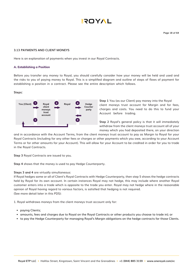

#### **3.13 PAYMENTS AND CLIENT MONEYS**

Here is an explanation of payments when you invest in our Royal Contracts.

#### **A. Establishing a Position**

Before you transfer any money to Royal, you should carefully consider how your money will be held and used and the risks to you of paying money to Royal. This is a simplified diagram and outline of steps of flows of payment for establishing a position in a contract. Please see the entire description which follows.

#### **Steps:**



**Step 1** You (as our Client) pay money into the Royal client moneys trust account for Margin and for fees, charges and costs. You need to do this to fund your Account before trading.

**Step 2** Royal's general policy is that it will immediately withdraw from the client moneys trust account all of your money which you had deposited there, on your direction

and in accordance with the Account Terms, from the client moneys trust account to pay as Margin to Royal for your Royal Contracts (including for any other fees or charges or other payments which you owe, according to your Account Terms or for other amounts for your Account). This will allow for your Account to be credited in order for you to trade in the Royal Contracts.

**Step 3** Royal Contracts are issued to you.

**Step 4** shows that the money is used to pay Hedge Counterparty.

#### **Steps 3 and 4** are virtually simultaneous:

If Royal hedges some or all of Client's Royal Contracts with Hedge Counterparty, then step 5 shows the hedge contracts held by Royal for its own account. In certain instances Royal may not hedge, this may include where another Royal customer enters into a trade which is opposite to the trade you enter. Royal may not hedge where in the reasonable opinion of Royal having regard to various factors, is satisfied that hedging is not required. (See more detail later in this PDS):

1. Royal withdraws moneys from the client moneys trust account only for:

- paying Clients;
- amounts, fees and charges due to Royal on the Royal Contracts or other products you choose to trade in); or
- to pay the Hedge Counterparty for managing Royal's Margin obligations on the hedge contracts for those Clients.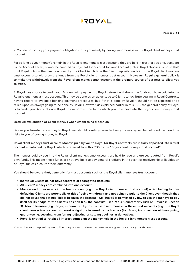2. You do not satisfy your payment obligations to Royal merely by having your moneys in the Royal client moneys trust account.

For so long as your money's remain in the Royal client moneys trust account, they are held in trust for you and, pursuant to the Account Terms, cannot be counted as payment for or credit for your Account (unless Royal chooses to waive this) until Royal acts on the direction given by the Client (each time the Client deposits funds into the Royal client moneys trust account) to withdraw the funds from the Royal client moneys trust account. **However, Royal's general policy is to make the withdrawals from the Royal client moneys trust account in the ordinary course of business to allow you to trade.**

3. Royal may choose to credit your Account with payment to Royal before it withdraws the funds you have paid into the Royal client moneys trust account. This may be done as an advantage to Clients to facilitate dealing in Royal Contracts having regard to available banking payment procedures, but if that is done by Royal it should not be expected or be relied upon as always going to be done by Royal. However, as explained earlier in this PDS, the general policy of Royal is to credit your Account once Royal has withdrawn the funds which you have paid into the Royal client moneys trust account.

#### **Detailed explanation of Client moneys when establishing a position**

Before you transfer any money to Royal, you should carefully consider how your money will be held and used and the risks to you of paying money to Royal.

#### **Royal client moneys trust account Moneys paid by you to Royal for Royal Contracts are initially deposited into a trust account maintained by Royal, which is referred to in this PDS as the "Royal client moneys trust account".**

The moneys paid by you into the Royal client moneys trust account are held for you and are segregated from Royal's own funds. This means those funds are not available to pay general creditors in the event of receivership or liquidation of Royal (unless a court orders differently).

**You should be aware that, generally, for trust accounts such as the Royal client moneys trust account:**

- **• Individual Clients do not have separate or segregated accounts.**
- **• All Clients' moneys are combined into one account.**
- **• Moneys and other assets in the trust account (e.g., the Royal client moneys trust account) which belong to nondefaulting Clients are potentially at risk of being withdrawn and not being re-paid to the Client even though they did not cause the default. This is because the licensee (e.g., Royal) is permitted by law to use the moneys to pay itself for its hedge of the Client's position (i.e., the contract) (see "Your Counterparty Risk on Royal" in Section 3). Also, a licensee (e.g., Royal) is permitted by law to use Client moneys in these trust accounts (e.g., the Royal client moneys trust account) to meet obligations incurred by the licensee (i.e., Royal) in connection with margining, guaranteeing, securing, transferring, adjusting or settling dealings in derivatives.**
- **• Royal is entitled to retain all interest earned on the money held in the Royal client moneys trust account.**

You make your deposit by using the unique client reference number we give to you for your Account.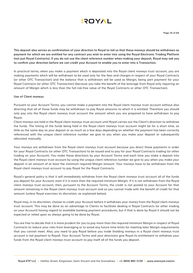

**This deposit also serves as confirmation of your direction to Royal to tell us that these moneys should be withdrawn as payment for which we are entitled for any contract you wish to enter into using the Royal Electronic Trading Platform (not just Royal Contracts). If you do not use the client reference number when making your deposit, Royal may ask you to confirm your direction before we can credit your Account to enable you to enter into a Transaction.**

In practical terms, when you make a payment which is deposited into the Royal client moneys trust account, you are making payments which will be withdrawn to be used only for the fees and charges in respect of your Royal Contracts (or other OTC Transaction) and the balance that is withdrawn will be used as Margin, being part payment for your Royal Contracts (or other OTC Transaction) (because you take the benefit of the leverage from Royal only requiring an amount of Margin which is less than the full risk-free value of the Royal Contracts or other OTC Transaction).

#### **Use of Client moneys**

Pursuant to your Account Terms, you cannot make a payment into the Royal client moneys trust account without also directing that all of those funds may be withdrawn to pay Royal amounts to which it is entitled. Therefore you should only pay into the Royal client moneys trust account the amount which you are prepared to have withdrawn to pay Royal.

Client moneys are held in the Royal client moneys trust account until Royal carries out the Client's direction to withdraw the funds. The timing of the funds being held in the Royal client moneys trust account might be for a short time, as little as the same day as your deposit or as much as a few days depending on whether the payment has been correctly referenced with the unique client reference number we give to you when you make your deposit or subsequently allocated manually.

Your moneys are withdrawn from the Royal client moneys trust account because you direct those payments in order for your Royal Contracts (or other OTC Transaction) to be issued and to pay for your Royal Contracts trading (or other trading on your Account). You make those directions by your Account Terms and each time you make a deposit into the Royal client moneys trust account by using the unique client reference number we give to you when you make your deposit in an amount of at least the minimum required Margin amount. Your moneys have to be withdrawn from the Royal client moneys trust account to pay Royal for the Royal Contracts.

Royal's general policy is that it will immediately withdraw from the Royal client moneys trust account all of the funds you deposit for your Account, even if it is more than the required minimum Margin. If it is not withdrawn from the Royal client moneys trust account, then, pursuant to the Account Terms, the credit is not posted to your Account for that amount remaining in the Royal client moneys trust account and so you cannot trade with the benefit of credit for that amount (unless Royal exercises its discretion, as explained below).

Royal may, in its discretion, choose to credit your Account before it withdraws your money from the Royal client moneys trust account. This may be done as an advantage to Clients to facilitate dealing in Royal Contracts (or other trading on your Account) having regard to available banking payment procedures, but if that is done by Royal it should not be expected or relied upon as always going to be done by Royal.

You are free to decide that it is more prudent for you to pay more than the required minimum Margin in respect of Royal Contracts to reduce your risks from leveraging or to avoid any future time limits for meeting later Margin requirements that you cannot meet. Also, you need to pay Royal before you trade (holding moneys in a Royal client moneys trust account is not payment to Royal). Your Account Terms and your directions give Royal its entitlement to withdraw your funds from the Royal client moneys trust account to pay itself all of the funds you deposit.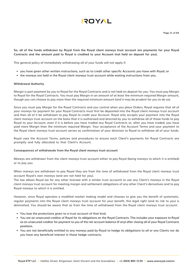

**So, all of the funds withdrawn by Royal from the Royal client moneys trust account are payments for your Royal Contracts and the amount paid to Royal is credited to your Account (not held on deposit for you).**

This general policy of immediately withdrawing all of your funds will not apply if:

- you have given other written instructions, such as to credit other specific Accounts you have with Royal; or
- the moneys are held in the Royal client moneys trust account while waiting instructions from you.

#### **Withdrawal Authority**

Margin is part payment by you to Royal for the Royal Contracts and is not held on deposit for you. You must pay Margin to Royal for the Royal Contracts. You must pay Margin in an amount of at least the minimum required Margin amount, though you can choose to pay more than the required minimum amount (and it may be prudent for you to do so).

Since you must pay Margin for the Royal Contracts and you control when you place Orders, Royal requires that all of your moneys for payment for your Royal Contracts must first be deposited into the Royal client moneys trust account and then all of it be withdrawn to pay Royal to credit your Account. Royal only accepts your payment into the Royal client moneys trust account on the basis that it is authorised and directed by you to withdraw all of those funds to pay Royal to your Account, even if it is before you have traded any Royal Contracts or, after you have traded, you have paid more Margin than the minimum required Margin. Your acceptance of the Account Terms and your payment to the Royal client moneys trust account serves as confirmation of your direction to Royal to withdraw all of your funds.

Royal uses the Account Terms, policies and procedures to ensure each Client's payments for Royal Contracts are promptly and fully allocated to that Client's Account.

#### **Consequences of withdrawals from the Royal client moneys trust account**

Moneys are withdrawn from the client moneys trust account either to pay Royal (being moneys to which it is entitled) or to pay you.

When moneys are withdrawn to pay Royal they are from the time of withdrawal from the Royal client moneys trust account Royal's own moneys (and are not held for you).

The law allows Royal (as for any other licensee with a similar trust account) to use any Client's moneys in the Royal client moneys trust account for meeting margin and settlement obligations of any other Client's derivatives and to pay Royal moneys to which it is entitled.

However, since Royal operates a modified market making model and chooses to give you the benefit of systematic, regular payments into the Royal client moneys trust account for your benefit, this legal right (and its risk to you) is diminished. You should be aware that as from the time of withdrawal from the Royal client moneys trust account:

- You lose the protections given to a trust account of that kind.
- You are an unsecured creditor of Royal for its obligations on the Royal Contracts. This includes your exposure to Royal as an unsecured creditor for payment to you of the net account balance (if any) after closing all of your Royal Contracts positions.
- You are not beneficially entitled to any moneys paid by Royal to hedge its obligations to all or any Clients nor do you have any beneficial interest in those hedge contracts.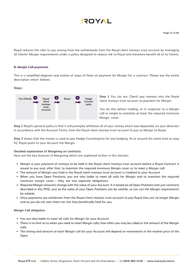Royal reduces the risks to you arising from the withdrawals from the Royal client moneys trust account by managing all Clients' Margin requirements under a policy designed to reduce risk to Royal and therefore benefit all of its Clients.

#### **B. Margin Call payments**

This is a simplified diagram and outline of steps of flows of payment for Margin for a contract. Please see the entire description which follows.

#### **Steps:**



**Step 1** You (as our Client) pay moneys into the Royal client moneys trust account as payment for Margin.

You do this before trading, or in response to a Margin call or simply to maintain at least the required minimum Margin cover.

**Step 2** Royal's general policy is that it will promptly withdraw all of your money which was deposited, on your direction in accordance with the Account Terms, from the Royal client moneys trust account to pay as Margin to Royal.

**Step 3** shows that the money is used to pay Hedge Counterparty for any hedging. At or around the same time as step #2, Royal posts to your Account the Margin.

#### **Detailed explanation of Margining on contracts**

Here are the key features of Margining which are explained further in this Section:

- Margin is your payment of moneys to be held in the Royal client moneys trust account before a Royal Contract is issued to you and, after that, to maintain the required minimum Margin cover or to meet a Margin call.
- The amount of Margin you hold in the Royal client moneys trust account is credited to your Account
- When you have Open Positions, you are also liable to meet all calls for Margin and to maintain the required minimum margin cover – they are two separate obligations.
- Required Margin amounts change with the value of your Account. It is based on all Open Positions (not just contracts described in this PDS). Just as the value of your Open Positions can be volatile, so too can the Margin requirements be volatile.
- Once payments are withdrawn from the Royal client moneys trust account to pay Royal they are no longer Margin and so you do not own them nor are they beneficially held for you.

#### **Margin Call obligation**

- You are also liable to meet all calls for Margin for your Account.
- There is no limit as to when you need to meet Margin calls, how often you may be called or the amount of the Margin calls.
- The timing and amount of each Margin call for your Account will depend on movements in the market price of the Open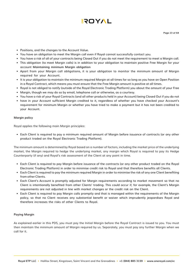- Positions, and the changes to the Account Value.
- You have an obligation to meet the Margin call even if Royal cannot successfully contact you.
- You have a risk of all of your contracts being Closed Out if you do not meet the requirement to meet a Margin call.
- This obligation (to meet Margin calls) is in addition to your obligation to maintain positive Free Margin for your account **Maintaining minimum Margin obligation**
- Apart from your Margin call obligations, it is your obligation to monitor the minimum amount of Margin required for your Account.
- It is your obligation to maintain the minimum required Margin at all times for so long as you have an Open Position in a Royal Contract, which means you must ensure that the Free Margin amount is positive at all times.
- Royal is not obliged to notify (outside of the Royal Electronic Trading Platform) you about the amount of your Free
- Margin, though we may do so by email, telephone call or otherwise, as a courtesy.
- You have a risk of your Royal Contracts (and all other products held in your Account) being Closed Out if you do not
- have in your Account sufficient Margin credited to it, regardless of whether you have checked your Account's requirement for minimum Margin or whether you have tried to make a payment but it has not been credited to your Account.

#### **Margin policy**

Royal applies the following main Margin principles:

• Each Client is required to pay a minimum required amount of Margin before issuance of contracts (or any other product traded on the Royal Electronic Trading Platform).

The minimum amount is determined by Royal based on a number of factors, including the market price of the underlying market, the Margin required to hedge the underlying market, any margin which Royal is required to pay its Hedge Counterparty (if any) and Royal's risk assessment of the Client at any point in time.

- Each Client is required to pay Margin before issuance of the contracts (or any other product traded on the Royal Electronic Trading Platform) in order to minimise credit risk to Royal and that therefore benefits all Clients.
- Each Client is required to pay the minimum required Margin in order to minimise the risk of any one Client benefiting from other Clients.
- Each Client's Account is promptly adjusted for Margin requirements according to market movement so that no Client is intentionally benefited from other Clients' trading. This could occur if, for example, the Client's Margin requirements are not adjusted in line with market changes or the credit risk on the Client.
- Each Client is required to pay Margin calls promptly and that is managed within the requirements of the Margin policy, so that no Client receives any substantial benefit or waiver which imprudently jeopardises Royal and therefore increases the risks of other Clients to Royal.

#### **Paying Margin**

As explained earlier in this PDS, you must pay the Initial Margin before the Royal Contract is issued to you. You must then maintain the minimum amount of Margin required by us. Separately, you must pay any further Margin when we call for it.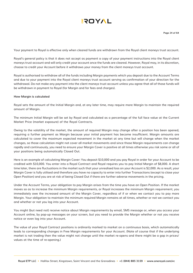

Your payment to Royal is effective only when cleared funds are withdrawn from the Royal client moneys trust account.

Royal's general policy is that it does not accept as payment a copy of your payment instructions into the Royal client moneys trust account and will only credit your account once the funds are cleared. However, Royal may, in its discretion, choose to credit your Account before it withdraws your money from the client moneys trust account.

Royal is authorised to withdraw all of the funds including Margin payments which you deposit due to the Account Terms and due to your payment into the Royal client moneys trust account serving as confirmation of your direction for the withdrawal. Do not make any payment into the client moneys trust account unless you agree that all of those funds will be withdrawn in payment to Royal (for Margin and for fees and charges).

#### **How Margin is calculated**

Royal sets the amount of the Initial Margin and, at any later time, may require more Margin to maintain the required amount of Margin.

The minimum Initial Margin will be set by Royal and calculated as a percentage of the full face value at the Current Market Price (market exposure) of the Royal Contracts.

Owing to the volatility of the market, the amount of required Margin may change after a position has been opened, requiring a further payment as Margin because your initial payment has become insufficient. Margin amounts are calculated to cover the maximum expected movement in the market at any time but will change when the market changes, so those calculation might not cover all market movements and since those Margin requirements can change rapidly and continuously, you need to ensure your Margin Cover is positive at all times otherwise you risk some or all of your positions being automatically Closed Out.

Here is an example of calculating Margin Cover: You deposit \$10,000 and you pay Royal in order for your Account to be credited with \$10,000. You enter into a Royal Contract and Royal requires you to pay Initial Margin of \$8,000. A short time later, there are fluctuations in the market such that your unrealised loss on your Account is \$2,000. As a result, your Margin Cover is fully utilised and therefore you have no capacity to enter into further Transactions (except to close your Open Position) and you are at risk of being Closed Out if there are further adverse movements in the pricing.

Under the Account Terms, your obligation to pay Margin arises from the time you have an Open Position. If the market moves so as to increase the minimum Margin requirements, or Royal increases the minimum Margin requirement, you immediately owe the increased amount of the Margin Cover, regardless of if or when we contact you to pay more Margin. Your obligation to maintain the minimum required Margin remains at all times, whether or not we contact you and whether or not you log into your Account.

You might (but need not) receive notice about Margin requirements by email, SMS message or, when you access your Account online, by pop-up messages on your screen, but you need to provide the Margin whether or not you receive notice or even log into your Account.

The value of your Royal Contract positions is ordinarily marked to market on a continuous basis, which automatically leads to corresponding changes in Free Margin requirements for your Account. (Note of course that if the underlying market is not trading then the value might not change until the market re-opens and there might be a gap in prices/ values at the time of re-opening.)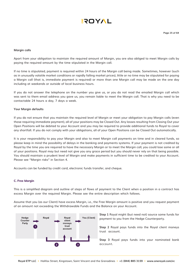#### **Margin calls**

Apart from your obligation to maintain the required amount of Margin, you are also obliged to meet Margin calls by paying the required amount by the time stipulated in the Margin call.

If no time is stipulated, payment is required within 24 hours of the Margin call being made. Sometimes, however (such as in unusually volatile market conditions or rapidly falling market prices), little or no time may be stipulated for paying a Margin call (that is, immediate payment is required) or more than one Margin call may be made on the one day including at weekends or outside of local business hours.

If you do not answer the telephone on the number you give us, or you do not read the emailed Margin call which was sent to them email address you gave us, you remain liable to meet the Margin call. That is why you need to be contactable 24 hours a day, 7 days a week.

#### **Your Margin defaults**

If you do not ensure that you maintain the required level of Margin or meet your obligation to pay Margin calls (even those requiring immediate payment), all of your positions may be Closed Out. Any losses resulting from Closing Out your Open Positions will be debited to your Account and you may be required to provide additional funds to Royal to cover any shortfall. If you do not comply with your obligations, all of your Open Positions can be Closed Out automatically.

It is your responsibility to pay your Margin and also to meet Margin call payments on time and in cleared funds, so please keep in mind the possibility of delays in the banking and payments systems. If your payment is not credited by Royal by the time you are required to have the necessary Margin or to meet the Margin call, you could lose some or all of your positions. Royal may but need not give you any grace period but you should never rely on that being possible. You should maintain a prudent level of Margin and make payments in sufficient time to be credited to your Account. Please see "Margin risks" in Section 4.

Accounts can be funded by credit card, electronic funds transfer, and cheque.

#### **C. Free Margin**

This is a simplified diagram and outline of steps of flows of payment to the Client when a position in a contract has excess Margin over the required Margin. Please see the entire description which follows.

Assume that you (as our Client) have excess Margin, i.e., the Free Margin amount is positive and you request payment of an amount not exceeding the Withdrawable Funds and the Balance on your Account.



**Step 1** Royal might (but need not) source some funds for payment to you from the Hedge Counterparty.

**Step 2** Royal pays funds into the Royal client moneys trust account.

**Step 3** Royal pays funds into your nominated bank account.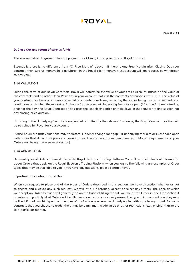

#### **D. Close Out and return of surplus funds**

This is a simplified diagram of flows of payment for Closing Out a position in a Royal Contract.

Essentially there is no difference from "C. Free Margin" above – if there is any Free Margin after Closing Out your contract, then surplus moneys held as Margin in the Royal client moneys trust account will, on request, be withdrawn to pay you.

#### **3.14 VALUATION**

During the term of our Royal Contracts, Royal will determine the value of your entire Account, based on the value of the contracts and all other Open Positions in your Account (not just the contracts described in this PDS). The value of your contract positions is ordinarily adjusted on a continuous basis, reflecting the values being marked to market on a continuous basis when the market or Exchange for the relevant Underlying Security is open. (After the Exchange trading ends for the day, the Royal Contract pricing uses the last closing price or index level in the regular trading session not any closing price auction.)

If trading in the Underlying Security is suspended or halted by the relevant Exchange, the Royal Contract position will be re-valued by Royal for your Account.

Please be aware that valuations may therefore suddenly change (or "gap") if underlying markets or Exchanges open with prices that differ from previous closing prices. This can lead to sudden changes in Margin requirements or your Orders not being met (see next section).

#### **3.15 ORDER TYPES**

Different types of Orders are available on the Royal Electronic Trading Platform. You will be able to find out information about Orders that apply on the Royal Electronic Trading Platform when you log in. The following are examples of Order types that may be available to you. If you have any questions, please contact Royal.

#### **Important notice about this section**

When you request to place one of the types of Orders described in this section, we have discretion whether or not to accept and execute any such request. We will, at our discretion, accept or reject any Orders. The price at which we accept an Order to trade will generally be on the basis of filling the full volume of the Order in one Transaction if possible and partially filled Orders will be filled as soon as the opportunity arises. The type of Orders and how they may be filled, if at all, might depend on the rules of the Exchange where the Underlying Securities are being traded. For some contracts that you choose to trade, there may be a minimum trade value or other restrictions (e.g., pricing) that relate to a particular market.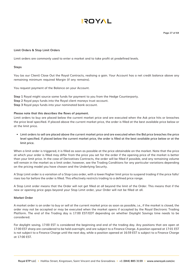**Page 27 of 64**

#### **Limit Orders & Stop Limit Orders**

Limit orders are commonly used to enter a market and to take profit at predefined levels.

#### **Steps**

You (as our Client) Close Out the Royal Contracts, realising a gain. Your Account has a net credit balance above any remaining minimum required Margin (if any remains).

You request payment of the Balance on your Account.

**Step 1** Royal might source some funds for payment to you from the Hedge Counterparty. **Step 2** Royal pays funds into the Royal client moneys trust account. **Step 3** Royal pays funds into your nominated bank account.

#### **Please note that this describes the flows of payment.**

Limit orders to buy are placed below the current market price and are executed when the Ask price hits or breaches the price level specified. If placed above the current market price, the order is filled at the best available price below or at the limit price.

• Limit orders to sell are placed above the current market price and are executed when the Bid price breaches the price level specified. If placed below the current market price, the order is filled at the best available price below or at the limit price.

When a limit order is triggered, it is filled as soon as possible at the price obtainable on the market. Note that the price at which your order is filled may differ from the price you set for the order if the opening price of the market is better than your limit price. In the case of Derivatives Contracts, the order will be filled if possible, and any remaining volume will remain in the market as a limit order; however, see the Trading Conditions for any particular variations depending on the pricing model you have chosen and the Underlying Security.

A Stop Limit order is a variation of a Stop-Loss order, with a lower/higher limit price to suspend trading if the price falls/ rises too far before the order is filled. This effectively restricts trading to a defined price range.

A Stop Limit order means that the Order will not get filled at all beyond the limit of the Order. This means that if the new or opening price gaps beyond your Stop Limit order, your Order will not be filled at all.

#### **Market Order**

A market order is an order to buy or sell at the current market price as soon as possible, i.e., if the market is closed, the order may not be accepted or may be executed when the market opens if accepted by the Royal Electronic Trading Platform. The end of the Trading day is 17:00 EST/EDT depending on whether Daylight Savings time needs to be considered.

For daylight saving, 17:00 EST is considered the beginning and end of the trading day. Any positions that are open at 17:00 EST sharp are considered to be held overnight, and are subject to a Finance Charge. A position opened at 17:01 EST is not subject to a Finance Charge until the next day, while a position opened at 16:59 EST is subject to a Finance Charge at 17:00 EST.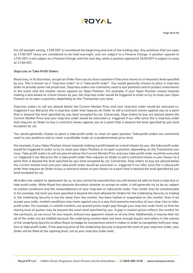For off daylight saving, 17:00 EDT is considered the beginning and end of the trading day. Any positions that are open at 17:00 EDT sharp are considered to be held overnight, and are subject to a Finance Charge. A position opened at 17:01 EDT is not subject to a Finance Charge until the next day, while a position opened at 16:59 EDT is subject to sway at 17:00 EST.

#### **Stop-Loss or Take-Profit Orders**

Royal may, in its discretion, accept an Order from you to close a position if the price moves to or beyond a level specified by you. This is known as a "stop-loss order" or a "take-profit order". You would generally choose to place a stop-loss order to provide some risk protection. Stop-loss orders are commonly used to exit positions and to protect investments in the event that the market moves against an Open Position. For example, if your Open Position moves towards making a loss based on a level chosen by you, the stop-loss order would be triggered in order to try to close your Open Position or to open a position, depending on the Transaction you have.

Stop-loss orders to sell are placed below the Current Market Price and your stop-loss order would be executed i.e. triggered if our Bid price (for a stop-loss order that requires an Order to sell a contract) moves against you to a point that is beyond the level specified by you (and accepted by us). Conversely, Stop orders to buy are placed above the Current Market Price and your stop-loss order would be executed i.e. triggered if our offer price (for a stop-loss order that requires an Order to buy a contract) moves against you to a point that is beyond the level specified by you (and accepted by us).

You would generally choose to place a take-profit order to close an open position. Take-profit orders are commonly used to exit positions and to close a profitable trade at a predetermined price level.

For example, if your Open Position moves towards making a profit based on a level chosen by you, the take-profit order would be triggered in order to try to close your Open Position or to open a position, depending on the Transaction you have. Take-profit orders to sell are placed above the Current Market Price and your take-profit order would be executed i.e. triggered if our Bid price (for a take-profit order that requires an Order to sell a contract) moves in your favour to a point that is beyond the level specified by you (and accepted by us). Conversely, Stop orders to buy are placed below the current market level and your take-profit order would be executed i.e. triggered if our offer price (for a take-profit order that requires an Order to buy a contract) moves in your favour to a point that is beyond the level specified by you (and accepted by us).

All orders are subject to agreement by us, so you cannot be assured that you will always be able to have a stop-loss or take profit order. While Royal has absolute discretion whether to accept an order, it will generally try to do so, subject to market conditions and the reasonableness of your stop-loss or take-profit order. Your Order may be unreasonable if, for example, the level you have specified is beyond the level allowed for Orders for the Underlying Security or trading in the Underlying Security is too far away from the market, has been halted or suspended on the market. Even if we accept your order, market conditions may move against you in a way that prevents execution of your stop- loss or takeprofit order. For example, in volatile markets, our quoted prices might gap though your stop-loss order level, so that the closing level of quotes may be beyond the exact level specified by you. A gap in market prices reflects the market for the contracts, so can occur for any reason, without any apparent reason or at any time. Additionally, it may be that not all of the order can be fulfilled because the underlying market does not have enough buyers and sellers in the volume of the Underlying Security to allow Royal to hedge its transactions which it makes in order to completely fulfil your stoploss or take-profit order. If the opening price of the Underlying Security is beyond the level of your stop-loss order, your Order will be filled at the opening level, not at your stop-loss order level.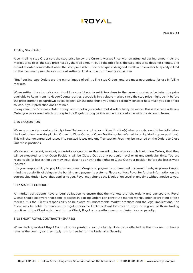#### **Trailing Stop Order**

A sell trailing stop Order sets the stop price below the Current Market Price with an attached trailing amount. As the market price rises, the stop price rises by the trail amount, but if the price falls, the stop-loss price does not change, and a market order is submitted when the stop price is hit. This technique is designed to allow an investor to specify a limit on the maximum possible loss, without setting a limit on the maximum possible gain.

"Buy" trailing stop Orders are the mirror image of sell trailing stop Orders, and are most appropriate for use in falling markets.

When setting the stop price you should be careful not to set it too close to the current market price being the price available to Royal from its Hedge Counterparties, especially in a volatile market, since the stop price might be hit before the price starts to go up/down as you expect. On the other hand you should carefully consider how much you can afford to lose, if your prediction does not hold.

In any case, the Stop-loss Order of any kind is not a guarantee that it will actually be made. This is the case with any Order you place (and which is accepted by Royal) as long as it is made in accordance with the Account Terms.

#### **3.16 LIQUIDATION**

We may manually or automatically Close Out some or all of your Open Position(s) when your Account Value falls below the Liquidation Level (by placing Orders to Close Out your Open Positions, also referred to as liquidating your positions). This will change unrealized losses into realized losses and any Transaction Fees may be incurred on the Orders to Close Out those positions.

We do not represent, warrant, undertake or guarantee that we will actually place such liquidation Orders, that they will be executed, or that Open Positions will be Closed Out at any particular level or at any particular time. You are responsible for losses that you may incur, despite us having the rights to Close Out your position before the losses were incurred.

It is your responsibility to pay Margin and meet Margin call payments on time and in cleared funds, so please keep in mind the possibility of delays in the banking and payments systems. Please contact Royal for further information on the current Liquidation Level that applies to you. Royal may change the Liquidation Level at any time without notice to you.

#### **3.17 MARKET CONDUCT**

All market participants have a legal obligation to ensure that the markets are fair, orderly and transparent. Royal Clients should be aware that some practices in placing Orders can constitute market manipulation or creating a false market. It is the Client's responsibility to be aware of unacceptable market practices and the legal implications. The Client may be liable for penalties to regulators or be liable to Royal for costs to Royal arising out of those trading practices of the Client which lead to the Client, Royal or any other person suffering loss or penalty.

#### **3.18 SHORT ROYAL CONTRACTS (SHARES)**

When dealing in short Royal Contract share positions, you are highly likely to be affected by the laws and Exchange rules in the country as they apply to short selling of the Underlying Security.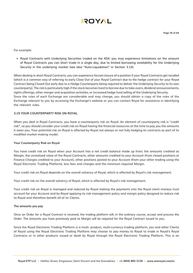

For example:

• Royal Contracts with Underlying Securities traded on the ASX: you may experience limitations on the amount of Royal Contracts you can short trade in a single day, due to limited borrowing availability for the Underlying Security in the underlying market (see also "Auto-Liquidation" in Section 3.14).

When dealing in short Royal Contracts, you can experience forced closure of a position if your Royal Contracts get recalled (which is a common way of referring to early Close Out of your Royal Contract due to the hedge contract for your Royal Contract being Closed Out early due to a Hedge Counterparty being required to deliver the Underlying Security to its own counterparty). The risk is particularly high if the stock becomes hard to borrow due to take-overs, dividend announcements, rights offerings, other merger and acquisition activities, or increased hedge fund selling of the Underlying Security. Since the rules of each Exchange are considerable and may change, you should obtain a copy of the rules of the Exchange relevant to you by accessing the Exchange's website or you can contact Royal for assistance in identifying the relevant rules.

#### **3.19 YOUR COUNTERPARTY RISK ON ROYAL**

When you deal in Royal Contracts, you have a counterparty risk on Royal. An element of counterparty risk is "credit risk", so you should consider your credit risk on Royal having the financial resources at the time to pay you the amounts it owes you. Your potential risk on Royal is affected by Royal not always or not fully hedging its contracts as part of its modified market making model.

#### **Your Counterparty Risk on Royal**

You have credit risk on Royal when your Account has a net credit balance made up from; the amounts credited as Margin, the unrealised value of the Royal Contracts, other amounts credited to your Account (from closed positions or Finance Charges credited to your Account), other positions posted to your Account (from your other trading using the Royal Electronic Trading Platform), less fees and charges and the minimum required Margin.

Your credit risk on Royal depends on the overall solvency of Royal, which is affected by Royal's risk management.

Your credit risk on the overall solvency of Royal, which is affected by Royal's risk management.

Your credit risk on Royal is managed and reduced by Royal making the payments into the Royal client moneys trust account for your Account and by Royal applying its risk management policy and margin policy designed to reduce risk to Royal and therefore benefit all of its Clients.

#### **The amounts you pay**

Once an Order for a Royal Contract is received, the trading platform will, in the ordinary course, accept and process the Order. The amounts you have previously paid as Margin will be required for the Royal Contract issued to you.

Since the Royal Electronic Trading Platform is a multi- product, multi-currency trading platform, you and other Clients of Royal using the Royal Electronic Trading Platform may choose to pay money to Royal to trade in Royal's Royal Contracts or in other products issued or dealt by Royal through the Royal Electronic Trading Platform. This is an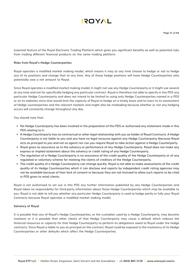

essential feature of the Royal Electronic Trading Platform which gives you significant benefits as well as potential risks from trading different financial products on the same trading platform.

#### **Risks from Royal's Hedge Counterparties**

Royal operates a modified market making model, which means it may at any time choose to hedge or not to hedge any of its positions and change that at any time. Any of those hedge positions will have Hedge Counterparties who potentially owe a net amount to Royal.

Since Royal operates a modified market making model, it might not use any Hedge Counterparty or it might use several at any time and not for specifically hedging any particular contract. Royal is therefore not able to specify in this PDS any particular Hedge Counterparty and does not intend to be limited to using only Hedge Counterparties named in a PDS or on its websites since that would limit the capacity of Royal to hedge on a timely basis and to react to its assessment of Hedge counterparties and the relevant markets and might also be misleading because whether or not any hedging occurs will constantly change throughout any day.

You should note that:

- No Hedge Counterparty has been involved in the preparation of this PDS or authorised any statement made in this PDS relating to it.
- A Hedge Counterparty has no contractual or other legal relationship with you as holder of Royal Contracts. A Hedge Counterparty is not liable to you and you have no legal recourse against any Hedge Counterparty (because Royal acts as principal to you and not as agent) nor can you require Royal to take action against a Hedge Counterparty.
- Royal gives no assurance as to the solvency or performance of any Hedge Counterparty. Royal does not make any express or implied statement about the solvency or credit rating of any Hedge Counterparty.
- The regulation of a Hedge Counterparty is no assurance of the credit quality of the Hedge Counterparty or of any regulated or voluntary scheme for meeting the claims of creditors of the Hedge Counterparty.
- The credit quality of a Hedge Counterparty can change quickly. Royal is not able to make assessments of the credit quality of its Hedge Counterparties which it can disclose and reports by independent credit rating agencies may not be available because of their lack of consent or because they are not licensed to allow such reports to be cited in PDS given to retail clients.

Royal is not authorised to set out in this PDS any further information published by any Hedge Counterparties and Royal takes no responsibility for third-party information about those Hedge Counterparties which may be available to you. Royal is not able to tell you whether any particular Hedge Counterparty is used to hedge partly or fully your Royal Contracts because Royal operates a modified market making model.

#### **Solvency of Royal**

It is possible that any of Royal's Hedge Counterparties, or the custodian used by a Hedge Counterparty, may become insolvent or it is possible that other clients of that Hedge Counterparty may cause a default which reduces the financial resources or capacity for that Hedge Counterparty to perform its obligations owed to Royal under the hedge contracts. Since Royal is liable to you as principal on the contract, Royal could be exposed to the insolvency of its Hedge Counterparties or other defaults which affect the Hedge Counterparties.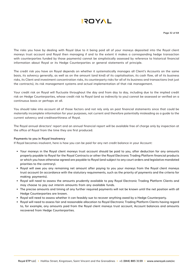

The risks you have by dealing with Royal (due to it being paid all of your moneys deposited into the Royal client moneys trust account and Royal then managing if and to the extent it makes a corresponding hedge transaction with counterparties funded by those payments) cannot be simplistically assessed by reference to historical financial information about Royal or its Hedge Counterparties or general statements of principle.

The credit risk you have on Royal depends on whether it systematically manages all Client's Accounts on the same basis, its solvency generally, as well as on the amount (and kind) of its capitalisation, its cash flow, all of its business risks, its Client and investment concentration risks, its counterparty risks for all of its business and transactions (not just the contracts), its risk management systems and actual implementation of that risk management.

Your credit risk on Royal will fluctuate throughout the day and from day to day, including due to the implied credit risk on Hedge Counterparties, whose credit risk to Royal (and so indirectly to you) cannot be assessed or verified on a continuous basis or perhaps at all.

You should take into account all of those factors and not rely only on past financial statements since that could be materially incomplete information for your purposes, not current and therefore potentially misleading as a guide to the current solvency and creditworthiness of Royal.

The Royal annual directors' report and an annual financial report will be available free of charge only by inspection at the office of Royal from the time they are first produced.

#### **Payments to you in Royal Insolvency**

If Royal becomes insolvent, here is how you can be paid for any net credit balance in your Account:

- Your moneys in the Royal client moneys trust account should be paid to you, after deduction for any amounts properly payable to Royal for the Royal Contracts or other the Royal Electronic Trading Platform financial products or which you have otherwise agreed are payable to Royal (and subject to any court orders and legislative mandated priorities to the contrary).
- Royal will owe you any remaining net amount after paying to you your moneys from the Royal client moneys trust account (in accordance with the statutory requirements, such as the priority of payments and the criteria for making payments).
- Royal will need to assess the amounts prudently available to pay Royal Electronic Trading Platform Clients and may choose to pay out interim amounts from any available funds.
- The precise amounts and timing of any further required payments will not be known until the net position with all Hedge Counterparties are known.
- Royal will need to assess whether it can feasibly sue to recover anything owed by a Hedge Counterparty.
- Royal will need to assess fair and reasonable allocation to Royal Electronic Trading Platform Clients having regard to, for example, any amounts paid from the Royal client moneys trust account, Account balances and amounts recovered from Hedge Counterparties.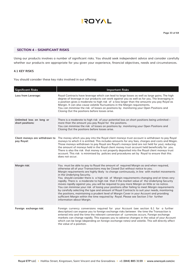

#### **SECTION 4 – SIGNIFICANT RISKS**

Using our products involves a number of significant risks. You should seek independent advice and consider carefully whether our products are appropriate for you given your experience, financial objectives, needs and circumstances.

#### **4.1 KEY RISKS**

You should consider these key risks involved in our offering:

| <b>Significant Risks</b>                      | <b>Important Risks</b>                                                                                                                                                                                                                                                                                                                                                                                                                                                                                                                                                                                                                                                                                                                                                                                                                                                                                                                                                                                            |
|-----------------------------------------------|-------------------------------------------------------------------------------------------------------------------------------------------------------------------------------------------------------------------------------------------------------------------------------------------------------------------------------------------------------------------------------------------------------------------------------------------------------------------------------------------------------------------------------------------------------------------------------------------------------------------------------------------------------------------------------------------------------------------------------------------------------------------------------------------------------------------------------------------------------------------------------------------------------------------------------------------------------------------------------------------------------------------|
| Loss from Leverage:                           | Royal Contracts have leverage which can lead to large losses as well as large gains. The high<br>degree of leverage in our products can work against you as well as for you. The leveraging in<br>a position gives a moderate to high risk of a loss larger than the amounts you pay Royal as<br>Margin. It can also cause volatile fluctuations in the Margin requirements.<br>You can minimise the risk of losses on positions by monitoring your Open Positions and<br>Closing Out the positions before losses arise.                                                                                                                                                                                                                                                                                                                                                                                                                                                                                          |
| Unlimited loss on long or<br>short positions: | There is a moderate to high risk of your potential loss on short positions being unlimited -<br>more than the amount you pay Royal for the positions.<br>You can minimise the risk of losses on positions by monitoring your Open Positions and<br>Closing Out the positions before losses arise.                                                                                                                                                                                                                                                                                                                                                                                                                                                                                                                                                                                                                                                                                                                 |
| Client moneys are withdrawn to<br>pay Royal:  | The money which you pay into the Royal client moneys trust account is withdrawn to pay Royal<br>moneys to which it is entitled. This includes amounts for any fees, charges and costs and Magin.<br>Those moneys withdrawn to pay Royal are Royal's moneys (and are not held for you), reducing<br>the amount of moneys held in the Royal client money trust account held beneficially for you.<br>There is also the risk that money is not properly deposited into the Royal client moneys trust<br>account. This risk is minimised by policies and procedures set by Royal to ensure that this<br>does not occur.                                                                                                                                                                                                                                                                                                                                                                                               |
| Margin risk:                                  | You must be able to pay to Royal the amount of required Margin as and when required,<br>otherwise all of your Transactions may be Closed Out without notice to you.<br>Margin requirements are highly likely to change continuously, in line with market movements<br>in the Underlying Security.<br>You should consider there is a high risk of Margin requirements changing and at times very<br>rapidly. There is a moderate to high risk that if the market value of the Underlying Security<br>moves rapidly against you, you will be required to pay more Margin on little or no notice.<br>You can minimise your risk of losing your positions after failing to meet Margin requirements<br>by carefully selecting the type and amount of Royal Contracts to suit your needs, monitoring<br>the positions, maintaining a prudent level of Margin Cover in your Account and providing<br>sufficient Margin within the time required by Royal. Please see Section 3 for further<br>information about Margin. |
| Foreign exchange risk:                        | Foreign currency conversions required for your Account (see section 6.1 for a further<br>description) can expose you to foreign exchange risks between the time the Transaction is<br>entered into and the time the relevant conversion of currencies occurs. Foreign exchange<br>markets can change rapidly. This exposes you to adverse changes in the value of your Account<br>which can be large (depending on foreign exchange rates) and volatile. This will directly affect<br>the value of a position.                                                                                                                                                                                                                                                                                                                                                                                                                                                                                                    |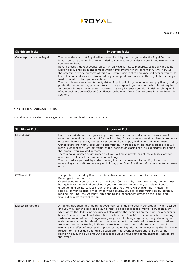| <b>Significant Risks</b>    | <b>Important Risks</b>                                                                                                                                                                                                                                                                                                                                                                                                                                                                                                                                                                                                                                                                                                                                                                                                                                                                                                                                                                                                                                                                |
|-----------------------------|---------------------------------------------------------------------------------------------------------------------------------------------------------------------------------------------------------------------------------------------------------------------------------------------------------------------------------------------------------------------------------------------------------------------------------------------------------------------------------------------------------------------------------------------------------------------------------------------------------------------------------------------------------------------------------------------------------------------------------------------------------------------------------------------------------------------------------------------------------------------------------------------------------------------------------------------------------------------------------------------------------------------------------------------------------------------------------------|
| Counterparty risk on Royal: | You have the risk that Royal will not meet its obligations to you under the Royal Contracts.<br>Royal Contracts are not Exchange traded so you need to consider the credit and related risks<br>you have on Royal.<br>Royal believes that your counterparty risk on Royal is low to moderate, especially due to its<br>Margin policy and risk management which it implements for the benefit of Clients; however,<br>the potential adverse outcome of this risk is very significant to you since, if it occurs, you could<br>lose all or some of your investment (after you are paid any moneys in the Royal client moneys<br>trust account to which you are entitled).<br>You can minimise your counterparty risk on Royal by limiting the amount you pay Royal, trading<br>prudently and requesting payment to you of any surplus in your Account which is not required<br>for prudent Margin management, however, this may increase your Margin risk resulting in all<br>of your positions being Closed Out. Please see heading "Your Counterparty Risk on Royal" in<br>Section 3. |

#### **4.2 OTHER SIGNIFCANT RISKS**

You should consider these significant risks involved in our products:

| <b>Significant Risks</b>   | <b>Important Risks</b>                                                                                                                                                                                                                                                                                                                                                                                                                                                                                                                                                                                                                                                                                                                                                                                                                                                                                                                                                                     |
|----------------------------|--------------------------------------------------------------------------------------------------------------------------------------------------------------------------------------------------------------------------------------------------------------------------------------------------------------------------------------------------------------------------------------------------------------------------------------------------------------------------------------------------------------------------------------------------------------------------------------------------------------------------------------------------------------------------------------------------------------------------------------------------------------------------------------------------------------------------------------------------------------------------------------------------------------------------------------------------------------------------------------------|
| Market risk:               | Financial markets can change rapidly; they are speculative and volatile. Prices even of<br>securities depend on a number of factors including, for example, commodity prices, index levels<br>or central bank decisions, interest rates, demand and supply and actions of governments.<br>Our products are highly speculative and volatile. There is a high risk that market prices will<br>move such that the Contract Value of the position on closing can be significantly less than<br>the amount you invested in them.<br>There is no guarantee or assurance that you will make profits, or not make losses, or that<br>unrealised profits or losses will remain unchanged.<br>You can reduce your risk by understanding the market relevant to the Royal Contracts,<br>monitoring your positions carefully and closing your Open Positions before unacceptable losses<br>arise.                                                                                                      |
| OTC market:                | The products offered by Royal are derivatives and are not covered by the rules for<br>Exchange-traded contracts.<br>Over-the-counter contracts, such as the Royal Contracts, by their nature may not at times<br>be liquid investments in themselves. If you want to exit the position, you rely on Royal's<br>discretion and ability to Close Out at the time you wish, which might not match the<br>liquidity or market price of the Underlying Security. You can reduce your risk by carefully<br>reading this PDS, the Account Terms and taking independent advice on the legal and<br>financial aspects relevant to you.                                                                                                                                                                                                                                                                                                                                                              |
| <b>Market disruptions:</b> | A market disruption may mean that you may be unable to deal in our products when desired<br>and you may suffer a loss as a result of that. This is because the market disruption events<br>which affect the Underlying Security will also affect the positions on the same or very similar<br>basis. Common examples of disruptions include the "crash" of a computer-based trading<br>system, a fire or other Exchange emergency, or an Exchange regulatory body declaring an<br>undesirable situation has developed in relation to particular series of contracts or a particular<br>trade, and suspends trading in those contracts or cancels that trade. You can attempt to<br>minimise the effect of market disruptions by obtaining information released by the Exchange<br>relevant to the position and taking action after the event as appropriate (if any) to the<br>position held, such as Closing Out because the values have significantly changed since before<br>the event. |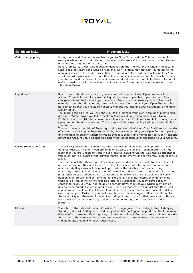**Page 35 of 64**

| <b>Significant Risks</b> | <b>Important Risks</b>                                                                                                                                                                                                                                                                                                                                                                                                                                                                                                                                                                                                                                                                                                                                                                                                                                                                                                                                                                                                                                                                                                                                                                                                                                                                                                                                                                                                                                                                                                                                                                                                                                                         |
|--------------------------|--------------------------------------------------------------------------------------------------------------------------------------------------------------------------------------------------------------------------------------------------------------------------------------------------------------------------------------------------------------------------------------------------------------------------------------------------------------------------------------------------------------------------------------------------------------------------------------------------------------------------------------------------------------------------------------------------------------------------------------------------------------------------------------------------------------------------------------------------------------------------------------------------------------------------------------------------------------------------------------------------------------------------------------------------------------------------------------------------------------------------------------------------------------------------------------------------------------------------------------------------------------------------------------------------------------------------------------------------------------------------------------------------------------------------------------------------------------------------------------------------------------------------------------------------------------------------------------------------------------------------------------------------------------------------------|
| Orders and gapping:      | It may become difficult or impossible for you to Close Out a position. This can happen for<br>example, when there is a significant change in the Contract Value over a short period. There is<br>a moderate to high risk of this occurring.<br>Royal's ability to Close Out a position depends on the market for the Underlying Security.<br>Stop- loss orders may not always be filled and, even if placed, may not limit your losses to the<br>amount specified in the Order, since they are not guarantees that there will be no loss. You<br>should consider placing stop-loss or other Orders that limit your losses but also closely monitor<br>your Account and the relevant market in case the stop-loss order is not fully filled or filled at all<br>and you need to take further action to limit your losses. For further information, see section on<br>"Stop-Loss Orders".                                                                                                                                                                                                                                                                                                                                                                                                                                                                                                                                                                                                                                                                                                                                                                                        |
| Liquidation:             | Royal may without prior notice to you liquidate all or some of your Open Positions if the<br>Account Value balance falls below the Liquidation Level applicable to your Account. This<br>can generate realised losses in your Account. Royal does not assure you that Royal will<br>actually act on this right, at any time or in respect of all or any of your Open Positions. It is<br>not something that you should rely upon to manage your risk and your obligation to maintain<br>Margin cover.<br>The more basic risks to you are that you fail to manage your own Account by maintaining<br>adequate Margin cover, you fail to meet any Margin call, you fail to monitor your Open<br>Positions, you (wrongly) rely on Royal liquidating your Open Positions or you fail to manage your<br>Open Positions before the Account Value balance falls below the Liquidation Level applicable to<br>vour Account.<br>You can manage the risk of Royal liquidating some or all of your Open Positions, or the risk<br>of you wrongly relying on Royal to do this, by carefully monitoring your Open Positions, placing<br>and maintaining prudent Orders (including stop loss orders) and managing your Open Positions<br>before the Account Value balance falls below the Liquidation Level applicable to your Account.                                                                                                                                                                                                                                                                                                                                                      |
| Online trading platform: | You are responsible for the means by which you access the online trading platform or your<br>other contact with Royal. If you are unable to access the online trading platform, it may<br>mean that you are unable to trade in our products (including Closing Out those positions) or<br>you might not be aware of the current Margin requirements and so you may suffer loss as a<br>result.<br>There is the risk that there is an IT systems failure and you are not able to either Close Out<br>or Open a Position. This may lead to loss. Royal ensures that it has update software and<br>maintains its IT systems including backup to reduce the likelihood of this occurring.<br>Royal may also suspend the operation of the online trading platform or any part of it, without<br>prior notice to you. Although this is considered to be a low risk since it would usually only<br>happen in unforeseen and extreme market situations, Royal has discretion in determining<br>when to do this. If the online trading platform is suspended, you may have difficulty<br>contacting Royal, you may not be able to contact Royal at all, or your Orders may not be<br>able to be executed at prices quoted to you. There is a moderate to high risk that Royal will<br>impose volume limits on Client Accounts or filters on trading, which could prevent or delay<br>execution of your Orders, at your risk. You have no recourse against Royal in relation to<br>the availability or otherwise of the online trading platforms, nor for their errors and software.<br>Please review the terms and any guidance material for any particular online trading<br>platform. |
| Market:                  | The rules of the relevant market (if any) or Exchange govern the trading in the Underlying<br>Security and so will (if they exist) indirectly affect the dealing in the products. All of the rules<br>(if any) of each relevant Exchange may be relevant to Royal Contracts, so you should consider<br>those rules. The details of those rules are outside the control of Royal and they may<br>change at any time and without notice to you.                                                                                                                                                                                                                                                                                                                                                                                                                                                                                                                                                                                                                                                                                                                                                                                                                                                                                                                                                                                                                                                                                                                                                                                                                                  |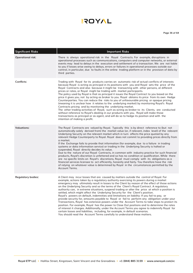**Page 36 of 64**

| <b>Significant Risks</b>  | <b>Important Risks</b>                                                                                                                                                                                                                                                                                                                                                                                                                                                                                                                                                                                                                                                                                                                                                                                                                                                                                                                                                                                                                                                                                                                                                                                                              |
|---------------------------|-------------------------------------------------------------------------------------------------------------------------------------------------------------------------------------------------------------------------------------------------------------------------------------------------------------------------------------------------------------------------------------------------------------------------------------------------------------------------------------------------------------------------------------------------------------------------------------------------------------------------------------------------------------------------------------------------------------------------------------------------------------------------------------------------------------------------------------------------------------------------------------------------------------------------------------------------------------------------------------------------------------------------------------------------------------------------------------------------------------------------------------------------------------------------------------------------------------------------------------|
| <b>Operational risk:</b>  | There is always operational risk in the Royal Contracts. For example, disruptions in<br>operational processes such as communications, computers and computer networks, or external<br>events may lead to delays in the execution and settlement of a transaction. We are not liable<br>to you if losses arise owing to delays, errors or failures in operational processes outside our<br>control, in particular, due to faults in the online trading platform or in the provision of data by<br>third parties.                                                                                                                                                                                                                                                                                                                                                                                                                                                                                                                                                                                                                                                                                                                     |
| Conflicts:                | Trading with Royal for its products carries an automatic risk of actual conflicts of interests<br>because Royal is acting as principal in its positions with you and Royal sets the price of the<br>Royal Contracts and also because it might be transacting with other persons, at different<br>prices or rates, or Royal might be trading with market participants.<br>The policy used by Royal is that as principal it issues the Royal Contract to you based on the<br>price it gives you, not by acting as broker to you. Royal obtains its price from its own Hedge<br>Counterparties. You can reduce the risks to you of unfavourable pricing or opaque pricing<br>(meaning it is unclear how it relates to the underlying market) by monitoring Royal's Royal<br>Contracts pricing and by monitoring the underlying market.<br>The other trading activities of Royal, such as acting as broker to its Clients, are conducted<br>without reference to Royal's dealing in our products with you. Royal will make those<br>transactions as principal or as agent, and will do so to hedge its position and with the<br>intention of making a profit.                                                                           |
| <b>Valuations:</b>        | The Royal Contracts are valued by Royal. Typically this is by direct reference to (but not<br>automatically solely derived from) the market value (or, if relevant, index level) of the relevant<br>Underlying Security on the relevant market which in turn affects the price quoted by any<br>relevant Hedge Counterparty to Royal. Royal does not commit to providing prices directly from<br>a market.<br>If the Exchange fails to provide that information (for example, due to a failure in trading<br>systems or data information service) or trading in the Underlying Security is halted or<br>suspended, Royal directly decides its value.<br>Due to the nature of our Royal Contracts, in common with industry practice for such financial<br>products, Royal's discretion is unfettered and so has no condition or qualification. While there<br>are no specific limits on Royal's discretions, Royal must comply with its obligations as a<br>financial services licensee to act efficiently, honestly and fairly. You therefore have the risk<br>of relying on whatever value is determined by Royal in the circumstances permitted by the<br><b>Account Terms.</b>                                                   |
| <b>Regulatory bodies:</b> | A Client may incur losses that are caused by matters outside the control of Royal. For<br>example, actions taken by a regulatory authority exercising its powers during a market<br>emergency may ultimately result in losses to the Client by reason of the effect of those actions<br>on the Underlying Security and so the terms of the Client's Royal Contract. A regulatory<br>authority can, in extreme situations, suspend trading or alter the price at which a position is<br>settled, which might affect the Underlying Security for the Client's position.<br>Royal's powers on default, indemnities and limitations on liability: If you fail to pay, or<br>provide security for, amounts payable to Royal or fail to perform any obligation under your<br>Transactions, Royal has extensive powers under the Account Terms to take steps to protect its<br>position. For example, Royal has the power to Close Out positions and to determine the rates<br>of interest it charges. Additionally, under the Account Terms you agree to indemnify Royal for<br>certain losses and liabilities, including, for example, in default scenarios.<br>You should read the Account Terms carefully to understand these matters. |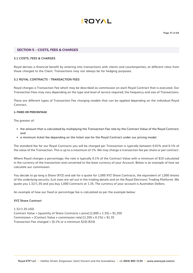

#### **SECTION 5 – COSTS, FEES & CHARGES**

#### **5.1 COSTS, FEES & CHARGES**

Royal derives a financial benefit by entering into transactions with clients and counterparties; at different rates from those charged to the Client. Transactions may not always be for hedging purposes.

#### **5.2 ROYAL CONTRACTS - TRANSACTION FEES**

Royal charges a Transaction Fee which may be described as commission on each Royal Contract that is executed. Our Transaction Fees may vary depending on the type and level of service required, the frequency and size of Transactions.

There are different types of Transaction Fee charging models that can be applied depending on the individual Royal Contract.

#### **1. FIXED OR PERCENTAGE**

The greater of:

- the amount that is calculated by multiplying the Transaction Fee rate by the Contract Value of the Royal Contract; and
- a minimum ticket fee depending on the ticket size for the Royal Contract under our pricing model.

The standard fee for our Royal Contracts you will be charged per Transaction is typically between 0.01% and 0.1% of the value of the Transaction. This is up to a maximum of 1%. We may charge a transaction fee per share or per contract.

Where Royal charges a percentage; the rate is typically 0.1% of the Contract Value with a minimum of \$10 calculated in the currency of the transaction and converted to the base currency of your Account. Below is an example of how we calculate our commission.

You decide to go long a Share (XYZ) and ask for a quote for 1,000 XYZ Share Contracts, the equivalent of 1,000 shares of the underlying security. (Lot sizes are set out in the trading details and on the Royal Electronic Trading Platform). We quote you 1.32/1.35 and you buy 1,000 Contracts at 1.35. The currency of your account is Australian Dollars.

An example of how our fixed or percentage fee is calculated as per the example below:

#### **XYZ Share Contract**

1.32/1.35 USD Contract Value = [quantity of Share Contracts x price]  $[1,000 \times 1.35] = $1,350$ Commission = [Contact Value x commission rate]  $[1,350 \times 0.1\%] = $1.35$ Transaction Fee charged = [0.1% or a minimum \$10] (\$10)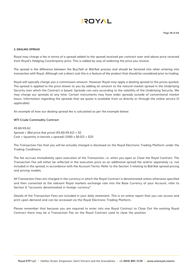#### **2. DEALING SPREAD**

Royal may charge a fee in terms of a spread added to the spread received per contract over and above price received from Royal's Hedging Counterparty price. This is added by way of widening the price you receive.

The spread is the difference between the Buy/Sell or Bid/Ask process and should be factored into when entering into transaction with Royal. Although not a direct cost this is a feature of the product that should be considered prior to trading.

Royal will typically charge you a commission amount. However Royal may apply a dealing spread to the prices quoted. The spread is applied to the price shown to you by adding an amount to the natural market spread in the Underlying Security over which the Contract is based. Spreads can vary according to the volatility of the Underlying Security. We may charge our spreads at any time. Certain instruments may have wider spreads outside of conventional market hours. Information regarding the spreads that we quote is available from us directly or through the online service (if applicable).

An example of how our dealing spread fee is calculated as per the example below:

#### **WTI Crude Commodity Contract**

45.60/45.62 Spread = (Bid price-Ask price) (45.60/45.62) = \$2 Cost = (quantity in barrels x spread)  $(1000 \times $0.02) = $20$ 

The Transaction Fee that you will be actually charged is disclosed on the Royal Electronic Trading Platform under the Trading Conditions.

The fee accrues immediately upon execution of the Transaction, i.e. when you open or Close the Royal Contract. The Transaction Fee will either be reflected in the execution price as an additional spread fee and/or separately i.e. not included in the spread, in accordance with the Account Terms. Refer to the Section 3 relating to Bid/Ask spread pricing and pricing models.

All Transaction Fees are charged in the currency in which the Royal Contract is denominated unless otherwise specified and then converted at the relevant Royal markets exchange rate into the Base Currency of your Account, refer to Section 6 "accounts denominated in foreign currency"

Details of the Transaction Fees are included in your daily statement. This is an online report that you can access and print upon demand and can be accessed via the Royal Electronic Trading Platform.

Please remember that because you are required to enter into one Royal Contract to Close Out the existing Royal Contract there may be a Transaction Fee on the Royal Contract used to close the position.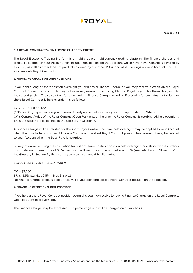

#### **5.3 ROYAL CONTRACTS- FINANCING CHARGES/ CREDIT**

The Royal Electronic Trading Platform is a multi-product, multi-currency trading platform. The finance charges and credits calculated on your Account may include Transactions on that account which have Royal Contracts covered by this PDS, as well as other kinds of products covered by our other PDSs, and other dealings on your Account. This PDS explains only Royal Contracts.

#### **1. FINANCING CHARGE ON LONG POSITIONS**

If you hold a long or short position overnight you will pay a Finance Charge or you may receive a credit on the Royal Contract. Some Royal contracts may not incur any overnight Financing Charge. Royal may factor these charges in to the spread pricing. The calculation for an overnight Finance Charge (including if a credit) for each day that a long or short Royal Contract is held overnight is as follows:

#### CV x (BR) / 360 or 365\*

(\* 360 or 365, depending on your chosen Underlying Security – check your Trading Conditions) Where: **CV** is Contract Value of the Royal Contract Open Positions, at the time the Royal Contract is established, held overnight. **BR** is the Base Rate as defined in the Glossary in Section 7.

A Finance Charge will be credited for the short Royal Contract position held overnight may be applied to your Account when the Base Rate is positive. A Finance Charge on the short Royal Contract position held overnight may be debited to your Account when the Base Rate is negative.

By way of example, using the calculation for a short Share Contract position held overnight for a share whose currency has a relevant interest rate of 0.5% used for the Base Rate with a mark-down of 3% (see definition of "Base Rate" in the Glossary in Section 7), the charge you may incur would be illustrated:

 $$2,000 \times (2.5\%)$  / 365 = (\$0.14) Where:

**CV** is \$2,000 **BR** is -2.5% p.a. (i.e., 0.5% minus 3% p.a.) No Finance Charge/credit is paid or received if you open and close a Royal Contract position on the same day.

#### **2. FINANCING CREDIT ON SHORT POSITIONS**

If you hold a short Royal Contract position overnight, you may receive (or pay) a Finance Charge on the Royal Contracts Open positions held overnight.

The Finance Charge may be expressed as a percentage and will be charged on a daily basis.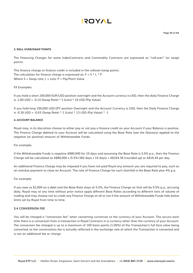#### **3. ROLL OVER/SWAP POINTS**

The Financing Charges for some IndexContracts and Commodity Contracts are expressed as "roll-over" (or swap) points.

This finance charge or finance credit is included in the rollover/swap points. The calculation for finance charge is expressed as:  $F = S * L * P$ Where  $S =$  Swap rate;  $L =$  Lots;  $P =$  Pip/Point Value

#### FX Examples:

If you hold a short 200,000 EUR/USD position overnight and the Account currency is USD, then the daily Finance Charge is -2.80 USD = -0.14 (Swap Rate) \* 2 (Lots) \* 10 USD (Pip Value)

If you hold long 100,000 USD/JPY position Overnight and the Account Currency is USD, then the Daily Finance Charge is -0.39 USD = -0.03 (Swap Rate) \* 1 (Lots) \* 13 USD (Pip Value) \* -1

#### **4. ACCOUNT BALANCE**

Royal may, in its discretion choose to either pay or not pay a finance credit on your Account if your Balance is positive. The Finance Charge debited to your Account will be calculated using the Base Rate (see the Glossary) applied to the negative (or positive) amount of Withdrawable Funds.

For example;

If the Withdrawable Funds is negative A\$80,000 for 10 days and assuming the Base Rate is 5.5% p.a., then the Finance Charge will be calculated as A\$80,000 x (5.5%/365 days x 10 days) = A\$164.38 (rounded up) or A\$16.44 per day.

An additional Finance Charge may be imposed if you have not paid Royal any amount you are required to pay, such as an overdue payment to close an Account. The rate of Finance Charge for such shortfall is the Base Rate plus 4% p.a.

#### For example;

If you owe us \$2,000 on a debt and the Base Rate stays at 5.5%, the Finance Charge on that will be 9.5% p.a., accruing daily. Royal may at any time without prior notice apply different Base Rates according to different tiers of volume of trading and may choose not to credit any Finance Charge at all or not if the amount of Withdrawable Funds falls below limits set by Royal from time to time.

#### **5.4 CONVERSION FEE**

You will be charged a "conversion fee" when converting currencies to the currency of your Account. This occurs each time there is a conversion from a transaction in Royal Contracts in a currency other than the currency of your Account. The conversion fee charged is up to a maximum of 100 basis points (1.00%) of the Transaction's full face value being converted, so the conversation fee is actually reflected in the exchange rate at which the Transaction is converted and is not an additional fee or charge.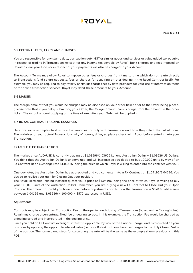

#### **5.5 EXTERNAL FEES, TAXES AND CHARGES**

You are responsible for any stamp duty, transaction duty, GST or similar goods and services or value added tax payable in respect of trading in Transactions (except for any income tax payable by Royal). Bank charges and fees imposed on Royal to clear your funds or in respect of your payments will also be charged to your Account.

The Account Terms may allow Royal to impose other fees or charges from time to time which do not relate directly to Transactions (and so are not costs, fees or charges for acquiring or later dealing in the Royal Contract itself). For example, you may be required to pay royalty or similar charges set by data providers for your use of information feeds or for online transaction services. Royal may debit these amounts to your Account.

#### **5.6 MARGIN**

The Margin amount that you would be charged may be disclosed on your order ticket prior to the Order being placed. (Please note that if you delay submitting your Order, the Margin amount could change from the amount in the order ticket. The actual amount applying at the time of executing your Order will be applied.)

#### **5.7 ROYAL CONTRACT TRADING EXAMPLES**

Here are some examples to illustrate the variables for a typical Transaction and how they affect the calculations. The variables of your actual Transactions will, of course, differ, so please check with Royal before entering into your Transaction.

#### **EXAMPLE 1: FX TRANSACTION**

The market price AUD/USD is currently trading at \$1.03596/1.03626 i.e. one Australian Dollar = \$1.03626 US Dollars. You think that the Australian Dollar is undervalued and will increase so you decide to buy 100,000 units by way of an FX Contract at an exchange rate \$1.03626 (being the price at which Royal is willing to enter into the contract with you).

One day later, the Australian Dollar has appreciated and you can enter into a FX Contract at \$1.04196/1.04226. You decide to realise your gain by Closing Out your position.

The Royal Electronic Trading Platform quotes you a price of \$1.04196 (being the price at which Royal is willing to buy your 100,000 units of the Australian Dollar). Remember, you are buying a new FX Contract to Close Out your Open Position. The amount of profit you have made, before adjustments and tax, on the Transaction is \$570.00 (difference between 1.04196 and 1.03626) x 100,000 = \$570 expressed in USD).

#### **Adjustments**

Contracts may be subject to a Transaction Fee on the opening and closing of Transactions (based on the Closing Value). Royal may charge a percentage, fixed fee or dealing spread. In this example, the Transaction Fee would be charged as a dealing spread and incorporated in the dealing price.

Since you hold an FX Contract overnight, interest is applicable (by way of the Finance Charge) and is calculated on your positions by applying the applicable interest rates (i.e. Base Rates) for those Finance Charges to the daily Closing Value of the position. The formula and steps for calculating the rate will be the same as the example shown previously in this PDS.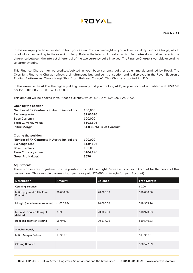

In this example you have decided to hold your Open Position overnight so you will incur a daily Finance Charge, which is calculated according to the overnight Swap Rate in the interbank market, which fluctuates daily and represents the difference between the interest differential of the two currency pairs involved. The Finance Charge is variable according to currency pairs.

This Finance Charge may be credited/debited in your base currency daily or at a time determined by Royal. The Overnight Financing Charge reflects a simultaneous buy and sell transaction and is displayed in the Royal Electronic Trading Platform as "Swap Long/ Short" or "Rollover Charge". This Charge is quoted in USD.

In this example the AUD is the higher yielding currency and you are long AUD, so your account is credited with USD 6.8 per lot [0.00068 x 100,000 = USD 6.80]

This amount will be booked in your base currency, which is AUD at 1.04226 = AUD 7.09

| Opening the position                         |                            |
|----------------------------------------------|----------------------------|
| Number of FX Contracts in Australian dollars | 100,000                    |
| Exchange rate                                | \$1,03626                  |
| <b>Base Currency</b>                         | 100,000                    |
| <b>Term Currency value</b>                   | \$103,626                  |
| Initial Margin                               | \$1,036.26(1% of Contract) |
| Closing the position                         |                            |
| Number of FX Contracts in Australian dollars | 100,000                    |
| Exchange rate                                | \$1.04196                  |
| <b>Base Currency</b>                         | 100,000                    |
| <b>Term Currency value</b>                   | \$104,196                  |
| <b>Gross Profit (Loss)</b>                   | \$570                      |

#### **Adjustments**

There is an interest adjustment as the position was held overnight. Movements on your Account for the period of this transaction: (This example assumes that you have paid \$20,000 as Margin for your Account).

| <b>Description</b>                      | Amount     | <b>Balance</b> | <b>Free Margin</b> |
|-----------------------------------------|------------|----------------|--------------------|
| <b>Opening Balance</b>                  |            |                | \$0.00             |
| Initial payment (all is Free<br>Equity) | 20,000.00  | 20,000.00      | \$20,000.00        |
| Margin (i.e. minimum required)          | (1,036.26) | 20,000.00      | \$18,963.74        |
| Interest (Finance Charge)<br>debited    | 7.09       | 20,007.09      | \$18,970.83        |
| Realised profit on closing              | \$570.00   | 20,577.09      | \$19,540.83        |
| Simultaneously                          | $\ddot{}$  |                | $+$                |
| <b>Initial Margin Return</b>            | 1,036.26   |                | \$1,036.26         |
| <b>Closing Balance</b>                  |            |                | \$20,577.09        |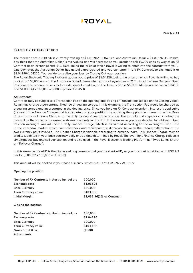

#### **EXAMPLE 2: FX TRANSACTION**

The market price AUD/USD is currently trading at \$1.03596/1.03626 i.e. one Australian Dollar = \$1.03626 US Dollars. You think that the Australian Dollar is overvalued and will decrease so you decide to sell 10,000 units by way of an FX Contract at an exchange rate \$1.03596 (being the price at which Royal is willing to enter into the contract with you). One day later, the Australian Dollar has actually appreciated and you can enter into a FX Contract to exchange it at \$1.04196/1.04226. You decide to realise your loss by Closing Out your position.

The Royal Electronic Trading Platform quotes you a price of \$1.04226 (being the price at which Royal is willing to buy back your 100,000 units of the Australian Dollar). Remember, you are buying a new FX Contract to Close Out your Open Positions. The amount of loss, before adjustments and tax, on the Transaction is \$600.00 (difference between 1.04196 and  $$1.03596$ ) x  $100,000 = $600$  expressed in USD).

#### **Adjustments**

Contracts may be subject to a Transaction Fee on the opening and closing of Transactions (based on the Closing Value). Royal may charge a percentage, fixed fee or dealing spread. In this example, the Transaction Fee would be charged as a dealing spread and incorporated in the dealing price. Since you hold an FX Contract overnight, interest is applicable (by way of the Finance Charge) and is calculated on your positions by applying the applicable interest rates (i.e. Base Rates) for those Finance Charges to the daily Closing Value of the position. The formula and steps for calculating the rate will be the same as the example shown previously in this PDS. In this example you have decided to hold your Open Position overnight you will incur a daily Finance Charge, which is calculated according to the overnight Swap Rate in the interbank market, which fluctuates daily and represents the difference between the interest differential of the two currency pairs involved. The Finance Charge is variable according to currency pairs. This Finance Charge may be credited/debited in your base currency daily or at a time determined by Royal. The overnight Finance Charge reflects a simultaneous buy and sell transaction and is displayed in the Royal Electronic Trading Platform as "Swap Long/ Short" or "Rollover Charge".

In this example the AUD is the higher yielding currency and you are short AUD, so your account is debited with USD 9.2 per lot [0.00092 x 100,000 = USD 9.2]

This amount will be booked in your base currency, which is AUD at 1.04226 = AUD 9.59

#### **Opening the position**

| Number of FX Contracts in Australian dollars<br>Exchange rate<br><b>Base Currency</b><br><b>Term Currency value</b> | 100,000<br>\$1,03596<br>100,000<br>\$103,596 |
|---------------------------------------------------------------------------------------------------------------------|----------------------------------------------|
| Initial Margin                                                                                                      | \$1,035.96(1% of Contract)                   |
| Closing the position                                                                                                |                                              |
| Number of FX Contracts in Australian dollars                                                                        | 100,000                                      |
| Exchange rate                                                                                                       | \$1.04196                                    |
| <b>Base Currency</b>                                                                                                | 100,000                                      |
| <b>Term Currency value</b>                                                                                          | \$104,196                                    |
| <b>Gross Profit (Loss)</b>                                                                                          | (S600)                                       |
| Adjustments                                                                                                         |                                              |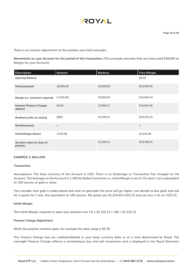There is an interest adjustment as the position was held overnight.

**Movements on your Account for the period of this transaction:** (This example assumes that you have paid \$20,000 as Margin for your Account).

| Description                                 | Amount                           | <b>Balance</b> | <b>Free Margin</b> |
|---------------------------------------------|----------------------------------|----------------|--------------------|
| <b>Opening Balance</b>                      |                                  |                | \$0.00             |
| Initial payment                             | 20,000.00                        | 20,000.00      | \$20,000.00        |
| Margin (i.e. minimum required)              | (1,035.96)                       | 20,000.00      | \$18,964.04        |
| <b>Interest (Finance Charge)</b><br>debited | (9.59)                           | 19,990.41      | \$18,954.45        |
| Realised profit on closing                  | (600)                            | 19,390.41      | \$18,354.45        |
| Simultaneously                              | $\begin{array}{c} + \end{array}$ |                | $+$                |
| <b>Initial Margin Return</b>                | 1,035.96                         |                | \$1,035.96         |
| Account value on close of<br>position       |                                  | 19,390.41      | \$19,390.41        |

#### **EXAMPLE 3: BULLION**

#### **Transaction**

Assumptions: The base currency of the Account is USD. There is no brokerage or Transaction Fee charged on the Account. The leverage on the Account is 1:100 for Bullion Contracts i.e. Initial Margin is set at 1%; and 1 Lot is equivalent to 100 ounces of gold or silver.

You consider that gold is undervalued and wish to speculate the price will go higher, you decide to buy gold, and ask for a quote for 1 lots, the equivalent of 100 ounces. We quote you \$1,324.65/1325.15 and you buy 1 lot at 1325.15.

#### **Initial Margin**

The Initial Margin required to open your position was  $1\% \times 1,325.15 \times 100 = 1,325.15$ 

#### **Finance Charge Adjustment**

While the position remains open, for example the daily swap is \$5.70.

This Finance Charge may be credited/debited in your base currency daily or at a time determined by Royal. The overnight Finance Charge reflects a simultaneous buy and sell transaction and is displayed in the Royal Electronic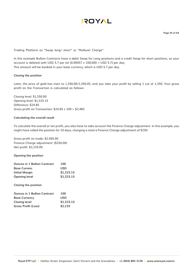

**Page 45 of 64**

Trading Platform as "Swap long/ short" or "Rollover Charge".

In this example Bullion Contracts have a debit Swap for Long positions and a credit Swap for short positions, so your account is debited with USD 5.7 per lot  $[0.00057 \times 100,000 =$  USD 5.7] per day. This amount will be booked in your base currency, which is USD 5.7 per day.

#### **Closing the position**

Later, the price of gold has risen to 1,350.00/1,350.05, and you take your profit by selling 1 Lot at 1,350. Your gross profit on the Transaction is calculated as follows:

Closing level: \$1,350.00 Opening level: \$1,325.15 Difference: \$24.85 Gross profit on Transaction:  $$24.85 \times 100 = $2,485$ 

#### **Calculating the overall result**

To calculate the overall or net profit, you also have to take account the Finance Charge adjustment. In this example, you might have rolled the position for 10 days, charging a total a Finance Charge adjustment of \$250:

Gross profit on trade: \$2,485.00 Finance Charge adjustment: (\$250.00) Net profit: \$2,235.00

**Opening the position**

| <b>Ounces in 1 Bullion Contract</b> | 100        |
|-------------------------------------|------------|
| <b>Base Currenc</b>                 | <b>USD</b> |
| Initial Marain                      | \$1,325.15 |
| <b>Opening level</b>                | \$1,325.15 |

**Closing the position**

| <b>Ounces in 1 Bullion Contract</b> | 100        |
|-------------------------------------|------------|
| <b>Base Currency</b>                | USD        |
| <b>Closing level</b>                | \$1,325.15 |
| <b>Gross Profit (Loss)</b>          | \$2,235    |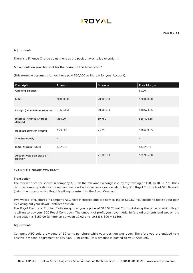#### **Adjustments**

There is a Finance Charge adjustment as the position was rolled overnight.

#### **Movements on your Account for the period of this transaction:**

(This example assumes that you have paid \$20,000 as Margin for your Account).

| <b>Description</b>                          | Amount                           | <b>Balance</b> | <b>Free Margin</b> |
|---------------------------------------------|----------------------------------|----------------|--------------------|
| <b>Opening Balance</b>                      |                                  |                | \$0.00             |
| Initial                                     | 20,000.00                        | 20,000.00      | \$20,000.00        |
| Margin (i.e. minimum required)              | (1,325.15)                       | 20,000.00      | \$18,674.85        |
| <b>Interest (Finance Charge)</b><br>debited | (250.00)                         | 19,750         | \$18,424.85        |
| Realised profit on closing                  | 2,235.00                         | 2,235          | \$20,659.85        |
| Simultaneously                              | $\begin{array}{c} + \end{array}$ |                | $\ddot{}$          |
| <b>Initial Margin Return</b>                | 1,325.15                         |                | \$1,325.15         |
| Account value on close of<br>position       |                                  | 21,985.00      | \$21,985.00        |

#### **EXAMPLE 4: SHARE CONTRACT**

#### **Transaction**

The market price for shares in company ABC on the relevant exchange is currently trading at \$10.00/10.02. You think that the company's shares are undervalued and will increase so you decide to buy 300 Royal Contracts at \$10.02 each (being the price at which Royal is willing to enter into the Royal Contract).

Two weeks later, shares in company ABC have increased and are now selling at \$10.52. You decide to realise your gain by closing out your Royal Contract position.

The Royal Electronic Trading Platform quotes you a price of \$10.52/Royal Contract (being the price at which Royal is willing to buy your 300 Royal Contracts). The amount of profit you have made, before adjustments and tax, on the Transaction is \$150.00 (difference between 10.02 and 10.52)  $\times$  300 = \$150).

#### **Adjustments**

Company ABC paid a dividend of 10 cents per share while your position was open. Therefore you are entitled to a positive dividend adjustment of \$30 (300 x 10 cents) (this amount is posted to your Account).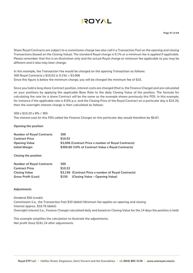

Share Royal Contracts are subject to a commission charge (we also call it a Transaction Fee) on the opening and closing Transactions (based on the Closing Value). The standard Royal charge is 0.1% or a minimum fee is applied if applicable. Please remember that this is an illustration only and the actual Royal charge or minimum fee applicable to you may be different and it also may later change.

In this example, the Transaction Fee would be charged on the opening Transaction as follows: 300 Royal Contracts x \$10.02 (x 0.1%) = \$3.006 Since this figure is below the minimum charge, you will be charged the minimum fee of \$10.

Since you hold a long share Contract position, interest costs are charged (that is, the Finance Charge) and are calculated on your positions by applying the applicable Base Rate to the daily Closing Value of the position. The formula for calculating the rate for a share Contract will be the same as the example shown previously this PDS. In this example, for instance if the applicable rate is 8.0% p.a. and the Closing Price of the Royal Contract on a particular day is \$10.20, then the overnight interest charge is then calculated as follows:

300 x \$10.20 x 8% / 365 The interest cost (in this PDS called the Finance Charge) on this particular day would therefore be \$0.67.

**Opening the position**

| <b>Number of Royal Contracts</b> | 300                                                  |
|----------------------------------|------------------------------------------------------|
| <b>Contract Price</b>            | \$10.02                                              |
| Opening Value                    | \$3,006 (Contract Price x number of Royal Contracts) |
| Initial Margin                   | \$300.60 (10% of Contract Value x Royal Contracts)   |
| <b>Closing the position</b>      |                                                      |
| <b>Number of Royal Contracts</b> | 300                                                  |

| <b>Contract Price</b> | \$10.52     |                                                      |
|-----------------------|-------------|------------------------------------------------------|
| <b>Closing Value</b>  |             | \$3,156 (Contract Price x number of Royal Contracts) |
| Gross Profit (Loss)   | <b>S150</b> | (Closing Value – Opening Value)                      |

#### **Adjustments**

Dividend \$50 (credit) Commission (i.e., the Transaction Fee) \$20 (debit) Minimum fee applies on opening and closing Interest approx. \$18.76 (debit) Overnight interest (i.e., Finance Charge) calculated daily and based on Closing Value for the 14 days the position is held.

This example simplifies the calculation to illustrate the adjustments. Net profit (loss) \$161.24 after adjustments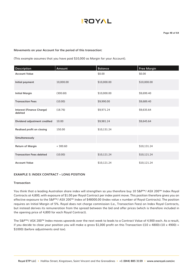

#### **Movements on your Account for the period of this transaction:**

(This example assumes that you have paid \$10,000 as Margin for your Account).

| <b>Description</b>                          | Amount    | <b>Balance</b> | <b>Free Margin</b> |
|---------------------------------------------|-----------|----------------|--------------------|
| <b>Account Value</b>                        |           | \$0.00         | \$0.00             |
| Initial payment                             | 10,000.00 | \$10,000.00    | \$10,000.00        |
| <b>Initial Margin</b>                       | (300.60)  | \$10,000.00    | \$9,699.40         |
| <b>Transaction Fees</b>                     | (10.00)   | \$9,990.00     | \$9,689.40         |
| <b>Interest (Finance Charge)</b><br>debited | (18.76)   | \$9,971.24     | \$9,635.64         |
| Dividend adjustment credited                | 10.00     | \$9,981.24     | \$9,645.64         |
| Realised profit on closing                  | 150.00    | \$10,131.24    |                    |
| Simultaneously                              |           |                |                    |
| <b>Return of Margin</b>                     | $+300.60$ |                | \$10,131.24        |
| <b>Transaction Fees debited</b>             | (10.00)   | \$10,121.24    | \$10,121.24        |
| <b>Account Value</b>                        |           | \$10,121.24    | \$10,121.24        |

#### **EXAMPLE 5: INDEX CONTRACT – LONG POSITION**

#### **Transaction**

You think that a leading Australian share index will strengthen so you therefore buy 10 S&P™/ ASX 200™ Index Royal Contracts at 4,800, with exposure of \$1.00 per Royal Contract per index point move. This position therefore gives you an effective exposure to the S&P™/ ASX 200™ Index of \$48000.00 (Index value x number of Royal Contracts). The position requires an Initial Margin of 5%. Royal does not charge commission (i.e., Transaction Fees) on Index Royal Contracts, but instead derives its remuneration from the spread between the bid and offer prices (which is therefore included in the opening price of 4,800 for each Royal Contract).

The S&P™/ ASX 200™ Index moves upwards over the next week to leads to a Contract Value of 4,900 each. As a result, if you decide to close your position you will make a gross \$1,000 profit on this Transaction ((10 x 4800)-(10 x 4900) = \$1000) (before adjustments and tax).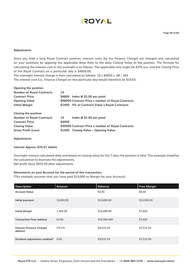**Page 49 of 64**

#### **Adjustments**

Since you hold a long Royal Contract position, interest costs (by the Finance Charge) are charged and calculated on your positions by applying the applicable Base Rate to the daily Closing Value of the position. The formula for calculating the interest cost in this example is as follows. The applicable rate might be 8.0% p.a. and the Closing Price of the Royal Contract on a particular day is \$4850.00.

The overnight interest charge is then calculated as follows:  $10 \times $4850 \times .08$  / 365 The interest cost (i.e., Finance Charge) on this particular day would therefore be \$10.63.

| 10     |                                                    |
|--------|----------------------------------------------------|
|        | \$4800 Index @ \$1.00 per point                    |
|        | \$48000 Contract Price x number of Royal Contracts |
|        | \$2400 5% of Contract Value x Royal Contracts      |
|        |                                                    |
| 10     | Index @ \$1.00 per point                           |
| \$4900 |                                                    |
|        | \$49000 Contract Price x number of Royal Contracts |
|        | \$1000 Closing Value - Opening Value               |
|        |                                                    |

#### **Adjustments**

#### **Interest Approx. \$74.41 (debit)**

Overnight interest calculated daily and based on closing value for the 7 days the position is held. This example simplifies the calculation to illustrate the adjustments.

Net profit (loss) \$925.59 after adjustments

#### **Movements on your Account for the period of this transaction:**

(This example assumes that you have paid \$10,000 as Margin for your Account).

| <b>Description</b>                   | <b>Amount</b> | <b>Balance</b> | <b>Free Margin</b> |
|--------------------------------------|---------------|----------------|--------------------|
| <b>Account Value</b>                 |               | \$0.00         | \$0.00             |
| Initial payment                      | 10,000.00     | \$10,000.00    | \$10,000.00        |
| <b>Initial Margin</b>                | 2,400.00      | \$10,000.00    | \$7,600            |
| <b>Transaction Fees debited</b>      | (0.00)        | \$10,000.000   | \$7,600            |
| Interest (Finance Charge)<br>debited | (74.41)       | \$9,925.59     | \$7,525.59         |
| Dividend adjustment credited* 0.00   |               | \$9,925.59     | \$7,525.59         |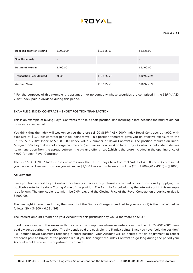| Realised profit on closing      | 1,000.000 | \$10,925.59 | \$8,525.00  |
|---------------------------------|-----------|-------------|-------------|
| Simultaneously                  | $+$       |             | $\ddot{}$   |
| <b>Return of Margin</b>         | 2,400.00  |             | \$2,400.00  |
| <b>Transaction Fees debited</b> | (0.00)    | \$10,925.59 | \$10,925.59 |
| <b>Account Value</b>            |           | \$10,925.59 | \$10,925.59 |

\* For the purposes of this example it is assumed that no company whose securities are comprised in the S&P™/ ASX 200™ Index paid a dividend during this period.

#### **EXAMPLE 6: INDEX CONTRACT – SHORT POSITION TRANSACTION**

This is an example of buying Royal Contracts to take a short position, and incurring a loss because the market did not move as you expected.

You think that the index will weaken so you therefore sell 20 S&P™/ ASX 200™ Index Royal Contracts at 4,900, with exposure of \$1.00 per contract per index point move. This position therefore gives you an effective exposure to the S&P™/ ASX 200™ Index of \$98,000.00 (Index value x number of Royal Contracts). The position requires an Initial Margin of 5%. Royal does not charge commission (i.e., Transaction Fees) on Index Royal Contracts, but instead derives its remuneration from the spread between the bid and offer prices (which is therefore included in the opening price of 4,900 for each Royal Contract).

The S&P™/ ASX 200™ Index moves upwards over the next 10 days to a Contract Value of 4,950 each. As a result, if you decide to close your position you will make \$1,000 loss on this Transaction Loss (20 x 4900)-(20 x 4950) = (\$1000).

#### **Adjustments**

Since you hold a short Royal Contract position, you receive/pay interest calculated on your positions by applying the applicable rate to the daily Closing Value of the position. The formula for calculating the interest cost in this example is as follows. The applicable rate might be 2.0% p.a. and the Closing Price of the Royal Contract on a particular day is \$4900.00.

The overnight interest credit (i.e., the amount of the Finance Charge is credited to your account) is then calculated as follows: 20 x \$4900 x 0.02 / 365

The interest amount credited to your Account for this particular day would therefore be \$5.37.

In addition, assume in this example that some of the companies whose securities comprise the S&P™/ ASX 200™ have paid dividends during the period. The dividends paid are equivalent to 5 index points. Since you have "sold the position" (i.e., bought Royal Contracts reflecting a short position) your Account will be debited for an adjustment to reflect dividends paid to buyers of the position (i.e. if you had bought the Index Contract to go long during the period your Account would receive this adjustment as a credit).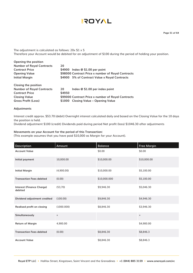The adjustment is calculated as follows:  $20x $1 x 5$ Therefore your Account would be debited for an adjustment of \$100 during the period of holding your position.

| $$4900$ Index @ $$1.00$ per point                  |
|----------------------------------------------------|
| \$98000 Contract Price x number of Royal Contracts |
| \$4900 5% of Contract Value x Royal Contracts      |
|                                                    |
| Index @ \$1.00 per index point                     |
| \$4950                                             |
| \$99000 Contract Price x number of Royal Contracts |
| \$1000 Closing Value – Opening Value               |
|                                                    |

#### **Adjustments**

Interest credit approx. \$53.70 (debit) Overnight interest calculated daily and based on the Closing Value for the 10 days the position is held.

Dividend adjustment \$100 (credit) Dividends paid during period Net profit (loss) \$1046.30 after adjustments

#### **Movements on your Account for the period of this Transaction:**

(This example assumes that you have paid \$10,000 as Margin for your Account).

| <b>Description</b>                          | Amount     | <b>Balance</b> | <b>Free Margin</b> |
|---------------------------------------------|------------|----------------|--------------------|
| <b>Account Value</b>                        |            | \$0.00         | \$0.00             |
| Initial payment                             | 10,000.00  | \$10,000.00    | \$10,000.00        |
| <b>Initial Margin</b>                       | (4,900.00) | \$10,000.00    | \$5,100.00         |
| <b>Transaction Fees debited</b>             | (0.00)     | \$10,000.000   | \$5,100.00         |
| <b>Interest (Finance Charge)</b><br>debited | (53,70)    | \$9,946.30     | \$5,046.30         |
| Dividend adjustment credited                | (100.00)   | \$9,846.30     | \$4,946.30         |
| Realised profit on closing                  | (1000.000) | \$8,846.30     | \$3,946.30         |
| Simultaneously                              | $\ddot{}$  |                | $+$                |
| <b>Return of Margin</b>                     | 4,900.00   |                | \$4,900.00         |
| <b>Transaction Fees debited</b>             | (0.00)     | \$8,846.30     | \$8,846.3          |
| <b>Account Value</b>                        |            | \$8,846.30     | \$8,846.3          |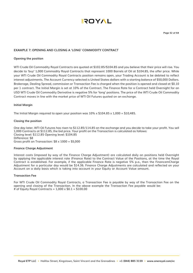

**Page 52 of 64**

#### **EXAMPLE 7: OPENING AND CLOSING A 'LONG' COMMODITY CONTRACT**

#### **Opening the position**

WTI Crude Oil Commodity Royal Contracts are quoted at \$102.85/\$104.85 and you believe that their price will rise. You decide to 'buy' 1,000 Commodity Royal Contracts that represent 1000 Barrels of Oil at \$104.85, the offer price. While your WTI Crude Oil Commodity Royal Contracts position remains open, your Trading Account is be debited to reflect interest adjustments. The Account Currency selected is United States dollars with a starting balance of \$50,000 Dollars. Brokerage, Dealing Spread, commission or Transaction Fee is charged when the position is opened and closed at \$0.10 per 1 contract. The Initial Margin is set at 10% of the Contract. The Finance Rate for a Contract held Overnight for an USD WTI Crude Oil Commodity Derivative is negative 5% for 'long' positions. The price of the WTI Crude Oil Commodity Contract moves in line with the market price of WTI Oil Futures quoted on an exchange.

#### **Initial Margin**

The Initial Margin required to open your position was  $10\% \times $104.85 \times 1,000 = $10,485$ .

#### **Closing the position**

One day later, WTI Oil Futures has risen to \$112.85/114.85 on the exchange and you decide to take your profit. You sell 1,000 Contracts at \$112.85, the bid price. Your profit on the Transaction is calculated as follows: Closing level: \$112.85 Opening level: \$104.85 Difference: \$8 Gross profit on Transaction:  $$8 \times 1000 = $5,000$ 

#### **Finance Charge Adjustment**

Interest costs (imposed by way of the Finance Charge Adjustment) are calculated daily on positions held Overnight by applying the applicable interest rate (Finance Rate) to the Contract Value of the Positions, at the time the Royal Contract is established. For example, if the applicable Finance Rate is negative 5% p.a., then the FinancemCharge Adjustment for a particular day would be \$14.36. Finance Charge Adjustments are calculated and reflected on your Account on a daily basis which is taking into account in your Equity or Account Value amount.

#### **Transaction Fee**

For WTI Crude Oil Commodity Royal Contracts, a Transaction Fee is payable by way of the Transaction Fee on the opening and closing of the Transaction. In the above example the Transaction Fee payable would be: # of Equity Royal Contracts =  $1,000 \times $0.1 = $100.00$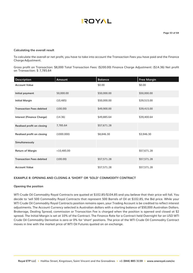#### **Calculating the overall result**

To calculate the overall or net profit, you have to take into account the Transaction Fees you have paid and the Finance Charge Adjustment.

Gross profit on Transaction: \$8,000 Total Transaction Fees: (\$200.00) Finance Charge Adjustment: (\$14.36) Net profit on Transaction: \$ 7,785.64

| <b>Description</b>               | Amount       | <b>Balance</b> | <b>Free Margin</b> |
|----------------------------------|--------------|----------------|--------------------|
| <b>Account Value</b>             |              | \$0.00         | \$0.00             |
| Initial payment                  | 50,000.00    | \$50,000.00    | \$50,000.00        |
| <b>Initial Margin</b>            | (10, 485)    | \$50,000.00    | \$39,515.00        |
| <b>Transaction Fees debited</b>  | (100.00)     | \$49,900.00    | \$39,415.00        |
| <b>Interest (Finance Charge)</b> | (14.36)      | \$49,885.64    | \$39,400.64        |
| Realised profit on closing       | 7,785.64     | \$57,671.28    |                    |
| Realised profit on closing       | (1000.000)   | \$8,846.30     | \$3,946.30         |
| Simultaneously                   |              |                |                    |
| <b>Return of Margin</b>          | $+10,485.00$ |                | \$57,671.28        |
| <b>Transaction Fees debited</b>  | (100.00)     | \$57,571.28    | \$57,571.28        |
| <b>Account Value</b>             |              | \$57,571.28    | \$57,571.28        |

#### **EXAMPLE 8: OPENING AND CLOSING A 'SHORT' OR 'SOLD' COMMODITY CONTRACT**

#### **Opening the position**

WTI Crude Oil Commodity Royal Contracts are quoted at \$102.85/\$104.85 and you believe that their price will fall. You decide to 'sell 500 Commodity Royal Contracts that represent 500 Barrels of Oil at \$102.85, the Bid price. While your WTI Crude Oil Commodity Royal Contracts position remains open, your Trading Account is be credited to reflect interest adjustments. The Account Currency selected is Australian dollars with a starting balance of \$50,000 Australian Dollars. Brokerage, Dealing Spread, commission or Transaction Fee is charged when the position is opened and closed at \$2 spread. The Initial Margin is set at 10% of the Contract. The Finance Rate for a Contract held Overnight for an USD WTI Crude Oil Commodity Derivative is zero or 0% for 'short' positions. The price of the WTI Crude Oil Commodity Contract moves in line with the market price of WTI Oil Futures quoted on an exchange.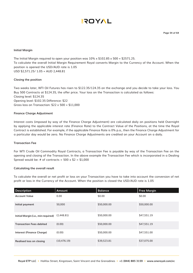#### **Initial Margin**

The Initial Margin required to open your position was  $10\% \times $102.85 \times 500 = $2571.25$ . To calculate the overall Initial Margin Requirement Royal converts Margin to the Currency of the Account. When the position is opened the USD/AUD rate is 1.05 USD \$2,571.25/ 1.05 = AUD 2,448.81

#### **Closing the position**

Two weeks later, WTI Oil Futures has risen to \$122.35/124.35 on the exchange and you decide to take your loss. You Buy 500 Contracts at \$124.35, the offer price. Your loss on the Transaction is calculated as follows: Closing level: \$124.35 Opening level: \$102.35 Difference: \$22 Gross loss on Transaction: \$22 x 500 = \$11,000

#### **Finance Charge Adjustment**

Interest costs (imposed by way of the Finance Charge Adjustment) are calculated daily on positions held Overnight by applying the applicable interest rate (Finance Rate) to the Contract Value of the Positions, at the time the Royal Contract is established. For example, if the applicable Finance Rate is 0% p.a., then the Finance Charge Adjustment for a particular day would be zero. No Finance Charge Adjustments are credited on your Account on a daily.

#### **Transaction Fee**

For WTI Crude Oil Commodity Royal Contracts, a Transaction Fee is payable by way of the Transaction Fee on the opening and closing of the Transaction. In the above example the Transaction Fee which is incorporated in a Dealing Spread would be: # of contracts =  $500 \times $2 = $1,000$ 

#### **Calculating the overall result**

To calculate the overall or net profit or loss on your Transaction you have to take into account the conversion of net profit or loss in the Currency of the Account. When the position is closed the USD/AUD rate is 1.05

| <b>Description</b>                  | Amount       | <b>Balance</b> | Free Margin |
|-------------------------------------|--------------|----------------|-------------|
| <b>Account Value</b>                | 0.00         | \$0.00         | \$0.00      |
| Initial payment                     | 50,000       | \$50,000.00    | \$50,000.00 |
| Initial Margin (i.e., min required) | (2,448.81)   | \$50,000.00    | \$47,551.19 |
| <b>Transaction Fees debited</b>     | (0.00)       | \$50,000.00    | \$47,551.19 |
| Interest (Finance Charge)           | (0.00)       | \$50,000.00    | \$47,551.00 |
| Realised loss on closing            | (10, 476.19) | \$39,523.81    | \$37,075.00 |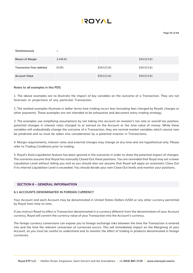| Simultaneously                  | ÷        |             |             |
|---------------------------------|----------|-------------|-------------|
| <b>Return of Margin</b>         | 2,448.81 |             | \$39,523.81 |
| <b>Transaction Fees debited</b> | (0.00)   | \$39,523.81 | \$39,523.81 |
| <b>Account Value</b>            |          | \$39,523.81 | \$39,523.81 |

#### **Notes to all examples in this PDS:**

1. The above examples are to illustrate the impact of key variables on the outcome of a Transaction. They are not forecasts or projections of any particular Transaction.

2. The worked examples illustrate in dollar terms how trading incurs fees (including fees charged by Royal), charges or other payments. These examples are not intended to be exhaustive and document every trading strategy.

3. The examples use simplifying assumptions by not taking into account an investor's tax rate or overall tax position, potential changes in interest rates charged to or earned on the Account or the time value of money. While these variables will undoubtedly change the outcome of a Transaction, they are normal market variables which cannot now be predicted and so must be taken into consideration by a potential investor in Transactions.

4. Margin requirements, interest rates and external charges may change at any time and are hypothetical only. Please refer to Trading Conditions prior to trading.

5. Royal's Auto-Liquidation feature has been ignored in the scenarios in order to show the potential impact of changes. The scenarios assume that Royal has manually Closed Out these positions. You are reminded that Royal may set a lower Liquidation Level without telling you and so you should also not assume that Royal will apply an automatic Close Out if its internal Liquidation Level is exceeded. You should decide your own Close-Out levels and monitor your positions.

#### **SECTION 6 – GENERAL INFORMATION**

#### **6.1 ACCOUNTS DENOMINATED IN FOREIGN CURRENCY**

Your Account and each Account may be denominated in United States Dollars (USD) or any other currency permitted by Royal from time to time.

If you instruct Royal to effect a Transaction denominated in a currency different from the denomination of your Account currency, Royal will convert the currency value of your Transaction into the Account's currency.

The foreign currency conversions can expose you to foreign exchange risks between the time the Transaction is entered into and the time the relevant conversion of currencies occurs. This will immediately impact on the Margining of your Account, so you must be careful to understand and to monitor the effect of trading in products denominated in foreign currencies.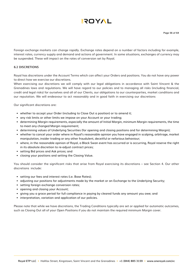

Foreign exchange markets can change rapidly. Exchange rates depend on a number of factors including for example, interest rates, currency supply and demand and actions of government. In some situations, exchanges of currency may be suspended. These will impact on the rates of conversion set by Royal.

#### **6.2 DISCRETIONS**

Royal has discretions under the Account Terms which can affect your Orders and positions. You do not have any power to direct how we exercise our discretions.

When exercising our discretions we will comply with our legal obligations in accordance with Saint Vincent & the Grenadines laws and regulations. We will have regard to our policies and to managing all risks (including financial, credit and legal risks) for ourselves and all of our Clients, our obligations to our counterparties, market conditions and our reputation. We will endeavour to act reasonably and in good faith in exercising our discretions

Our significant discretions are:

- whether to accept your Order (including to Close Out a position) or to amend it;
- any risk limits or other limits we impose on your Account or your trading;
- determining Margin requirements, especially the amount of Initial Margin, minimum Margin requirements, the time to meet any changed Margin requirement;
- determining values of Underlying Securities (for opening and closing positions and for determining Margin);
- whether to cancel your order where in Royal's reasonable opinion you have engaged in scalping, arbitrage, market manipulation, insider trading or any other fraudulent, deceitful or nefarious behaviour;
- where, in the reasonable opinion of Royal, a Black Swan event has occurred or is occurring, Royal reserve the right in its absolute discretion to re-adjust contract prices;
- setting Bid prices and Ask prices; and
- closing your positions and setting the Closing Value.

You should consider the significant risks that arise from Royal exercising its discretions – see Section 4. Our other discretions include:

- setting our fees and interest rates (i.e. Base Rates);
- adjusting our positions for adjustments made by the market or an Exchange to the Underlying Security;
- setting foreign exchange conversion rates;
- opening and closing your Account;
- giving you a grace period for full compliance in paying by cleared funds any amount you owe; and
- interpretation, variation and application of our policies.

Please note that while we have discretions, the Trading Conditions typically are set or applied for automatic outcomes, such as Closing Out all of your Open Positions if you do not maintain the required minimum Margin cover.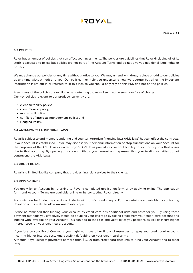#### **6.3 POLICIES**

Royal has a number of policies that can affect your investments. The policies are guidelines that Royal (including all of its staff) is expected to follow but policies are not part of the Account Terms and do not give you additional legal rights or powers.

We may change our policies at any time without notice to you. We may amend, withdraw, replace or add to our policies at any time without notice to you. Our policies may help you understand how we operate but all of the important information is set out in or referred to in this PDS so you should only rely on this PDS and not on the policies.

A summary of the policies are available by contacting us, we will send you a summary free of charge. Our key policies relevant to our products currently are:

- client suitability policy;
- client moneys policy;
- margin call policy;
- conflicts of interests management policy; and
- Hedging Policy.

#### **6.4 ANTI-MONEY LAUNDERING LAWS**

Royal is subject to anti-money laundering and counter- terrorism financing laws (AML laws) hat can affect the contracts. If your Account is established, Royal may disclose your personal information or stop transactions on your Account for the purposes of the AML laws or under Royal's AML laws procedures, without liability to you for any loss that arises due to that occurring. By opening an account with us, you warrant and represent that your trading activities do not contravene the AML Laws.

#### **6.5 ABOUT ROYAL**

Royal is a limited liability company that provides financial services to their clients.

#### **6.6 APPLICATIONS**

You apply for an Account by returning to Royal a completed application form or by applying online. The application form and Account Terms are available online or by contacting Royal directly.

Accounts can be funded by credit card, electronic transfer, and cheque. Further details are available by contacting Royal or on its website at: **www.oneroyal.com/vc**

Please be reminded that funding your Account by credit card has additional risks and costs for you. By using these payment methods you effectively would be doubling your leverage by taking credit from your credit card account and trading with leverage on your Account. This can add to the risks and volatility of you positions as well as incurs higher interest costs on your credit card account.

If you lose on your Royal Contracts, you might not have other financial resources to repay your credit card account, incurring higher interest costs and possibly defaulting on your credit card terms.

Although Royal accepts payments of more than \$1,000 from credit card accounts to fund your Account and to meet later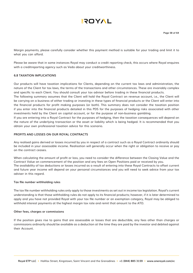Margin payments, please carefully consider whether this payment method is suitable for your trading and limit it to what you can afford.

Please be aware that in some instances Royal may conduct a credit reporting check, this occurs where Royal enquires with a creditreporting agency such as Veda about your creditworthiness.

#### **6.8 TAXATION IMPLICATIONS**

Our products will have taxation implications for Clients, depending on the current tax laws and administration, the nature of the Client for tax laws, the terms of the transactions and other circumstances. These are invariably complex and specific to each Client. You should consult your tax advisor before trading in these financial products.

The following summary assumes that the Client will hold the Royal Contract on revenue account, i.e., the Client will be carrying on a business of either trading or investing in these types of financial products or the Client will enter into the financial products for profit making purposes (or both). This summary does not consider the taxation position if you enter into the financial products detailed in this PDS for the purposes of hedging risks associated with other investments held by the Client on capital account, or for the purpose of non-business gambling.

If you are entering into a Royal Contract for the purposes of hedging, then the taxation consequences will depend on the nature of the underlying transaction or the asset or liability which is being hedged. It is recommended that you obtain your own professional taxation advice for this scenario.

#### **PROFITS AND LOSSES ON OUR ROYAL CONTRACTS**

Any realised gains derived or losses incurred by you in respect of a contract such as a Royal Contract ordinarily should be included in your assessable income. Realisation will generally occur when the right or obligation to receive or pay on the contract ceases.

When calculating the amount of profit or loss, you need to consider the difference between the Closing Value and the Contract Value on commencement of the position and any fees on Open Positions paid or received by you. The availability of tax deductions or losses incurred as a result of entering into these Royal Contracts to offset current and future year income will depend on your personal circumstances and you will need to seek advice from your tax adviser in this regard.

#### **Tax file number withholding rules**

The tax file number withholding rules only apply to those investments as set out in income tax legislation. Royal's current understanding is that those withholding rules do not apply to its financial products; however, if it is later determined to apply and you have not provided Royal with your tax file number or an exemption category, Royal may be obliged to withhold interest payments at the highest margin tax rate and remit that amount to the ATO.

#### **Other fees, charges or commissions**

If the position gives rise to gains that are assessable or losses that are deductible, any fees other than charges or commissions ordinarily should be available as a deduction at the time they are paid by the investor and debited against their Account.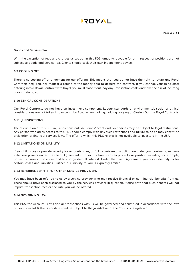#### **Goods and Services Tax**

With the exception of fees and charges as set out in this PDS, amounts payable for or in respect of positions are not subject to goods and service tax. Clients should seek their own independent advice.

#### **6.9 COOLING OFF**

There is no cooling off arrangement for our offering. This means that you do not have the right to return any Royal Contracts acquired, nor request a refund of the money paid to acquire the contract. If you change your mind after entering into a Royal Contract with Royal, you must close it out, pay any Transaction costs and take the risk of incurring a loss in doing so.

#### **6.10 ETHICAL CONSIDERATIONS**

Our Royal Contracts do not have an investment component. Labour standards or environmental, social or ethical considerations are not taken into account by Royal when making, holding, varying or Closing Out the Royal Contracts.

#### **6.11 JURISDICTIONS**

The distribution of this PDS in jurisdictions outside Saint Vincent and Grenadines may be subject to legal restrictions. Any person who gains access to this PDS should comply with any such restrictions and failure to do so may constitute a violation of financial services laws. The offer to which this PDS relates is not available to investors in the USA.

#### **6.12 LIMITATIONS ON LIABILITY**

If you fail to pay or provide security for amounts to us, or fail to perform any obligation under your contracts, we have extensive powers under the Client Agreement with you to take steps to protect our position including for example, power to close-out positions and to charge default interest. Under the Client Agreement you also indemnify us for certain losses and liabilities. Further, our liability to you is expressly limited.

#### **6.13 REFERRAL BENFITS FOR OTHER SERVICE PROVIDERS**

You may have been referred to us by a service provider who may receive financial or non-financial benefits from us. These should have been disclosed to you by the services provider in question. Please note that such benefits will not impact transaction fees or the rate you will be offered.

#### **6.14 GOVERNING LAW**

This PDS, the Account Terms and all transactions with us will be governed and construed in accordance with the laws of Saint Vincent & the Grenadines and be subject to the jurisdiction of the Courts of Kingstown.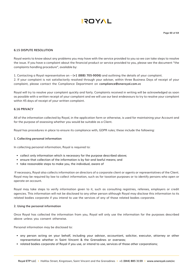# **AYOT!**

#### **6.15 DISPUTE RESOLUTION**

Royal wants to know about any problems you may have with the service provided to you so we can take steps to resolve the issue. If you have a complaint about the financial product or service provided to you, please see the document "the complaints handling procedure", available by:

1. Contacting a Royal representative on – **(+1 (888) 705-9006)** and outlining the details of your complaint.

2. If your complaint is not satisfactorily resolved through your adviser, within three Business Days of receipt of your complaint, please contact the Compliance Department on **compliance@oneroyal.com.vc**

Royal will try to resolve your complaint quickly and fairly. Complaints received in writing will be acknowledged as soon as possible with a written receipt of your complaint and we will use our best endeavours to try to resolve your complaint within 45 days of receipt of your written complaint.

#### **6.16 PRIVACY**

All of the information collected by Royal, in the application form or otherwise, is used for maintaining your Account and for the purpose of assessing whether you would be suitable as a Client.

Royal has procedures in place to ensure its compliance with, GDPR rules; these include the following:

#### **1. Collecting personal information**

In collecting personal information, Royal is required to:

- collect only information which is necessary for the purpose described above;
- ensure that collection of the information is by fair and lawful means; and
- take reasonable steps to make you, the individual, aware of

 If necessary, Royal also collects information on directors of a corporate client or agents or representatives of the Client. Royal may be required by law to collect information, such as for taxation purposes or to identify persons who open or operate an account.

Royal may take steps to verify information given to it, such as consulting registries, referees, employers or credit agencies. This information will not be disclosed to any other person although Royal may disclose this information to its related bodies corporate if you intend to use the services of any of those related bodies corporate.

#### **2. Using the personal information**

Once Royal has collected the information from you, Royal will only use the information for the purposes described above unless you consent otherwise.

Personal information may be disclosed to:

- any person acting on your behalf, including your advisor, accountant, solicitor, executor, attorney or other representative whether in Saint Vincent & the Grenadines or overseas;
- related bodies corporate of Royal if you use, or intend to use, services of those other corporations;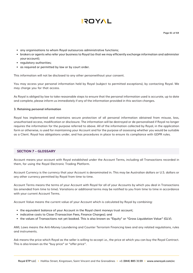

- any organisations to whom Royal outsources administrative functions;
- brokers or agents who refer your business to Royal (so that we may efficiently exchange information and administer your account);
- regulatory authorities;
- as required or permitted by law or by court order.

This information will not be disclosed to any other personwithout your consent.

You may access your personal information held by Royal (subject to permitted exceptions), by contacting Royal. We may charge you for that access.

As Royal is obliged by law to take reasonable steps to ensure that the personal information used is accurate, up to date and complete, please inform us immediately if any of the information provided in this section changes.

#### **3. Retaining personal information**

Royal has implemented and maintains secure protection of all personal information obtained from misuse, loss, unauthorised access, modification or disclosure. The information will be destroyed or de-personalised if Royal no longer requires the information for the purpose referred to above. All of the information collected by Royal, in the application form or otherwise, is used for maintaining your Account and for the purpose of assessing whether you would be suitable as a Client. Royal has obligations under, and has procedures in place to ensure its compliance with GDPR rules.

#### **SECTION 7 – GLOSSARY**

Account means your account with Royal established under the Account Terms, including all Transactions recorded in them, for using the Royal Electronic Trading Platform.

Account Currency is the currency that your Account is denominated in. This may be Australian dollars or U.S. dollars or any other currency permitted by Royal from time to time.

Account Terms means the terms of your Account with Royal for all of your Accounts by which you deal in Transactions (as amended from time to time). Variations or additional terms may be notified to you from time to time in accordance with your current Account Terms.

Account Value means the current value of your Account which is calculated by Royal by combining:

- the equivalent balance of your Account in the Royal client moneys trust account;
- indicative costs to Close (Transaction Fees, Finance Charges); and
- the values of Transactions not yet booked. This is also known as "Equity" or "Gross Liquidation Value" (GLV).

AML Laws means the Anti-Money Laundering and Counter Terrorism Financing laws and any related regulations, rules and instruments.

Ask means the price which Royal as the seller is willing to accept i.e., the price at which you can buy the Royal Contract. This is also known as the "buy price" or "offer price".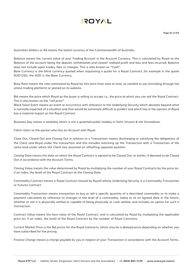

Australian Dollars or A\$ means the lawful currency of the Commonwealth of Australia.

Balance means the current value of your Trading Account in the Account Currency. This is calculated by Royal as the Balance of the account being the deposit, withdrawals and closed/ realised profit and loss and fees incurred. Balance does not include open trades, fees or charges. This is also known as "Cash".

Base Currency is the bfirst currency quoted when requesting a quote for a Royal Contract, for example in the quote AUD/USD, the AUD is the Base Currency.

Base Rate means the rate nominated by Royal for this term from time to time, as notified to you (including through the online trading platform) or posted on its website.

Bid means the price which Royal as the buyer is willing to accept i.e., the price at which you can sell the Royal Contract. This is also known as the "sell price".

Black Swan Event means an event or occurrence with reference to the Underlying Security which deviates beyond what is normally expected of a situation and that would be extremely difficult to predict and which has in the opinion of Royal has a material impact on the Royal Contract.

Business Day means a weekday which is not a gazetted public holiday in Saint Vincent & the Grenadines.

Client refers to the person who has an Account with Royal.

Close Out, Closed Out and Closing Out in relation to a Transaction means discharging or satisfying the obligations of the Client and Royal under the transaction and this includes matching up the Transaction with a Transaction of the same kind under which the Client has assumed an offsetting opposite position.

Closing Date means the date on which the Royal Contract is agreed to be Closed Out, or earlier, if deemed to be Closed Out in accordance with the Account Terms.

Closing Value means the value determined by Royal by multiplying the number of your Royal Contracts by the price (or, if an index, the level) of the Royal Contract at the Closing Date.

Commodity Contract means a Royal Contract (issued by Royal) whose Underlying Security is a Commodity Transaction or Futures Contract.

Commodity Transaction means transaction to buy or sell a specific quantity of a described commodity or to make a payment calculated by reference to changes in the level of a commodity; today or at an agreed date in the future, whether or not it is physically settled or capable of being physically or cash settled, and includes an option for such a transaction.

Contract Value means the face value of the Royal Contract, and is calculated by Royal by multiplying the applicable price (or, if an index, the level) of the Royal Contract by the number of Royal Contracts.

Current Market Price is the Bid prices for the Royal Contracts, which may be a delayed price depending on whether you have subscribed for live pricing.

Finance Charge means a charge payable by you in respect of your Transaction in accordance with the Account Terms.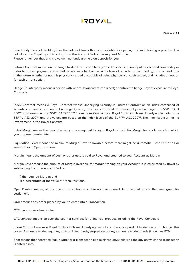

Free Equity means Free Margin or the value of funds that are available for opening and maintaining a position. It is calculated by Royal by subtracting from the Account Value the required Margin. Please remember that this is a value – no funds are held on deposit for you.

Futures Contract means an Exchange traded transaction to buy or sell a specific quantity of a described commodity or index to make a payment calculated by reference to changes in the level of an index or commodity, at an agreed date in the future, whether or not it is physically settled or capable of being physically or cash settled, and includes an option for such a transaction.

Hedge Counterparty means a person with whom Royal enters into a hedge contract to hedge Royal's exposure to Royal Contracts.

Index Contract means a Royal Contract whose Underlying Security is Futures Contract or an index comprised of securities of issuers listed on an Exchange, typically an index sponsored or promoted by an Exchange. The S&P™/ ASX 200™ is an example, so a S&P™/ ASX 200™ Share Index Contract is a Royal Contract whose Underlying Security is the S&P™/ ASX 200™ and the values are based on the index levels of the S&P ™/ ASX 200™. The index sponsor has no involvement in the Royal Contract.

Initial Margin means the amount which you are required to pay to Royal as the initial Margin for any Transaction which you propose to enter into.

Liquidation Level means the minimum Margin Cover allowable before there might be automatic Close Out of all or some of your Open Positions.

Margin means the amount of cash or other assets paid to Royal and credited to your Account as Margin

Margin Cover means the amount of Margin available for margin trading on your Account. It is calculated by Royal by subtracting from the Account Value:

- (i) the required Margin; and
- (ii) a percentage of the value of Open Positions.

Open Position means, at any time, a Transaction which has not been Closed Out or settled prior to the time agreed for settlement.

Order means any order placed by you to enter into a Transaction.

OTC means over-the-counter.

OTC contract means an over-the-counter contract for a financial product, including the Royal Contracts.

Share Contract means a Royal Contract whose Underlying Security is a financial product traded on an Exchange. This covers Exchange traded equities, units in listed funds, stapled securities, exchange traded funds (known as ETFs).

Spot means the theoretical Value Date for a Transaction two Business Days following the day on which the Transaction is entered into.